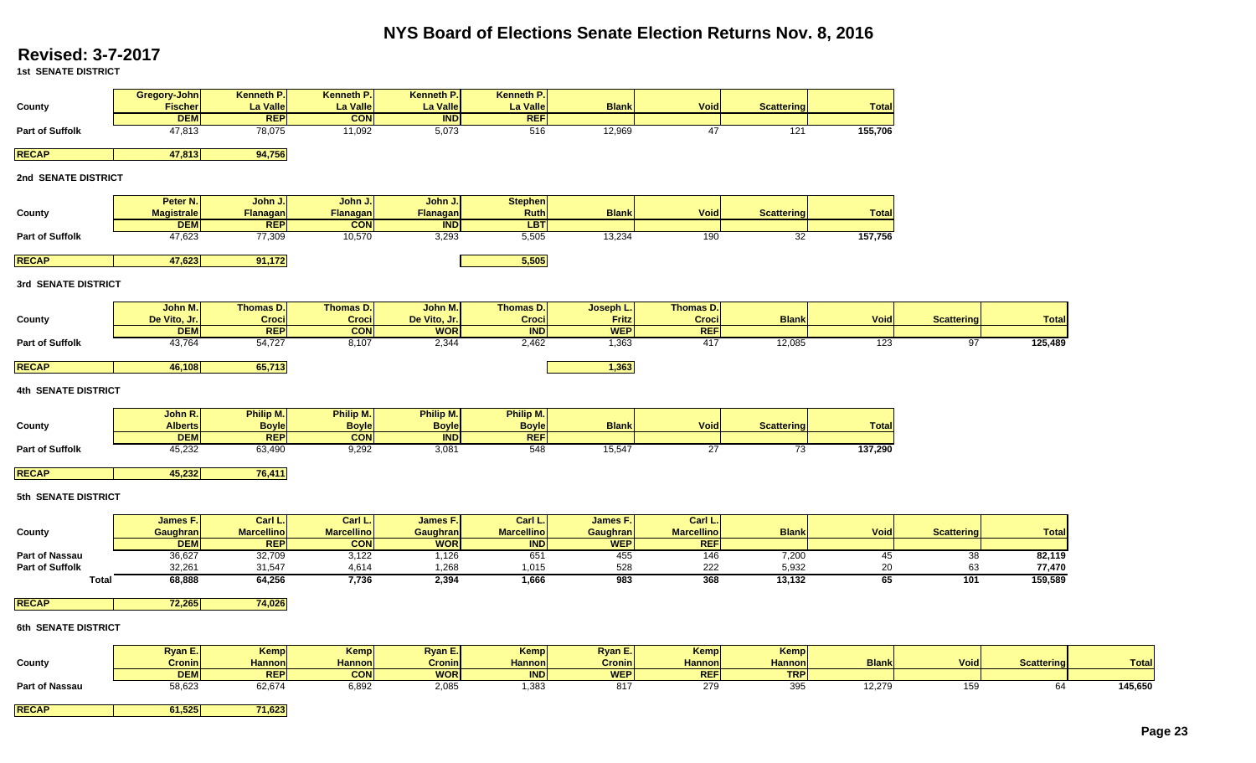# **NYS Board of Elections Senate Election Returns Nov. 8, 2016**

## **Revised: 3-7-2017**

|                        | Gregory-John                  | <b>Kenneth P.</b>            | Kenneth P.                   | <b>Kenneth P.</b>          | Kenneth P.                                |                            |                              |                       |              |                   |                   |              |
|------------------------|-------------------------------|------------------------------|------------------------------|----------------------------|-------------------------------------------|----------------------------|------------------------------|-----------------------|--------------|-------------------|-------------------|--------------|
| County                 | <b>Fischer</b>                | La Valle                     | <b>La Valle</b>              | <b>La Valle</b>            | <b>La Valle</b>                           | <b>Blank</b>               | Void                         | <b>Scattering</b>     | <b>Total</b> |                   |                   |              |
| <b>Part of Suffolk</b> | <b>DEM</b><br>47,813          | <b>REP</b><br>78,075         | <b>CON</b><br>11,092         | <b>IND</b><br>5,073        | REF<br>516                                | 12,969                     | 47                           | 121                   | 155,706      |                   |                   |              |
|                        |                               |                              |                              |                            |                                           |                            |                              |                       |              |                   |                   |              |
| <b>RECAP</b>           | 47,813                        | 94,756                       |                              |                            |                                           |                            |                              |                       |              |                   |                   |              |
| 2nd SENATE DISTRICT    |                               |                              |                              |                            |                                           |                            |                              |                       |              |                   |                   |              |
|                        |                               |                              |                              |                            |                                           |                            |                              |                       |              |                   |                   |              |
| County                 | Peter N.<br><b>Magistrale</b> | John J.<br>Flanagan          | John J.<br>Flanagan          | John J.<br>Flanagan        | <b>Stephen</b><br><b>Ruth</b>             | <b>Blank</b>               | Void                         | <b>Scattering</b>     | <b>Total</b> |                   |                   |              |
|                        | <b>DEM</b>                    | <b>REP</b>                   | <b>CON</b>                   | <b>IND</b>                 | <b>LBT</b>                                |                            |                              |                       |              |                   |                   |              |
| <b>Part of Suffolk</b> | 47,623                        | 77,309                       | 10,570                       | 3,293                      | 5,505                                     | 13,234                     | 190                          | $\overline{32}$       | 157,756      |                   |                   |              |
| <b>RECAP</b>           | 47,623                        | 91,172                       |                              |                            | 5,505                                     |                            |                              |                       |              |                   |                   |              |
| 3rd SENATE DISTRICT    |                               |                              |                              |                            |                                           |                            |                              |                       |              |                   |                   |              |
|                        |                               |                              |                              |                            |                                           |                            |                              |                       |              |                   |                   |              |
|                        | John M.                       | Thomas D.                    | Thomas D.                    | John M.                    | Thomas D.                                 | Joseph L.                  | Thomas D.                    |                       |              |                   |                   |              |
| County                 | De Vito, Jr.<br><b>DEM</b>    | <b>Croci</b><br><b>REP</b>   | Croci<br>CON                 | De Vito, Jr.<br><b>WOR</b> | <b>Croci</b><br>$\overline{\mathsf{IND}}$ | <b>Fritz</b><br><b>WEP</b> | Croci<br>REF                 | <b>Blank</b>          | <b>Void</b>  | <b>Scattering</b> | <b>Total</b>      |              |
| <b>Part of Suffolk</b> | 43,764                        | 54,727                       | 8,107                        | 2,344                      | 2,462                                     | 1,363                      | 417                          | 12,085                | 123          | 97                | 125,489           |              |
| <b>RECAP</b>           | 46,108                        | 65,713                       |                              |                            |                                           | 1,363                      |                              |                       |              |                   |                   |              |
|                        |                               |                              |                              |                            |                                           |                            |                              |                       |              |                   |                   |              |
| 4th SENATE DISTRICT    |                               |                              |                              |                            |                                           |                            |                              |                       |              |                   |                   |              |
|                        | John R.                       | Philip M.                    | Philip M.                    | Philip M.                  | Philip M.                                 |                            |                              |                       |              |                   |                   |              |
| County                 | <b>Alberts</b>                | <b>Boyle</b>                 | <b>Boyle</b>                 | <b>Boyle</b>               | <b>Boyle</b>                              | <b>Blank</b>               | Void                         | <b>Scattering</b>     | <b>Total</b> |                   |                   |              |
| <b>Part of Suffolk</b> | <b>DEM</b><br>45,232          | <b>REP</b><br>63,490         | <b>CON</b><br>9,292          | <b>IND</b><br>3,081        | <b>REF</b><br>548                         | 15,547                     | 27                           | $\overline{73}$       | 137,290      |                   |                   |              |
|                        |                               |                              |                              |                            |                                           |                            |                              |                       |              |                   |                   |              |
| <b>RECAP</b>           | 45,232                        | 76,411                       |                              |                            |                                           |                            |                              |                       |              |                   |                   |              |
| 5th SENATE DISTRICT    |                               |                              |                              |                            |                                           |                            |                              |                       |              |                   |                   |              |
|                        |                               |                              |                              |                            |                                           |                            |                              |                       |              |                   |                   |              |
| County                 | James F.<br>Gaughran          | Carl L.<br><b>Marcellino</b> | Carl L.<br><b>Marcellino</b> | James F.<br>Gaughran       | Carl L.<br><b>Marcellino</b>              | James F.<br>Gaughran       | Carl L.<br><b>Marcellino</b> | <b>Blank</b>          | <b>Void</b>  | <b>Scattering</b> | <b>Total</b>      |              |
|                        | <b>DEM</b>                    | <b>REP</b>                   | <b>CON</b>                   | <b>WOR</b>                 | <b>IND</b>                                | <b>WEP</b>                 | <b>REF</b>                   |                       |              |                   |                   |              |
| Part of Nassau         | 36,627                        | 32,709                       | 3,122                        | 1,126                      | 651                                       | 455                        | 146                          | 7,200                 | 45           | 38                | 82,119            |              |
| <b>Part of Suffolk</b> | 32,261                        | 31,547                       | 4,614                        | 1,268                      | 1,015                                     | 528                        | 222                          | 5,932                 | 20           | 63                | 77,470            |              |
| <b>Total</b>           | 68,888                        | 64,256                       | 7,736                        | 2,394                      | 1,666                                     | 983                        | 368                          | 13,132                | 65           | 101               | 159,589           |              |
| <b>RECAP</b>           | 72,265                        | 74,026                       |                              |                            |                                           |                            |                              |                       |              |                   |                   |              |
| 6th SENATE DISTRICT    |                               |                              |                              |                            |                                           |                            |                              |                       |              |                   |                   |              |
|                        |                               |                              |                              |                            |                                           |                            |                              |                       |              |                   |                   |              |
| County                 | Ryan E.<br><b>Cronin</b>      | Kemp<br>Hannon               | <b>Kemp</b><br><b>Hannon</b> | Ryan E.<br><b>Cronin</b>   | Kemp<br><b>Hannon</b>                     | Ryan E.<br><b>Cronin</b>   | <b>Kemp</b><br><b>Hannon</b> | Kemp<br><b>Hannon</b> | <b>Blank</b> | <b>Void</b>       | <b>Scattering</b> | <b>Total</b> |
|                        | <b>DEM</b>                    | <b>REP</b>                   | <b>CON</b>                   | <b>WOR</b>                 | <b>IND</b>                                | <b>WEP</b>                 | <b>REF</b>                   | <b>TRP</b>            |              |                   |                   |              |
| <b>Part of Nassau</b>  | 58,623                        | 62,674                       | 6,892                        | 2,085                      | 1,383                                     | 817                        | 279                          | 395                   | 12,279       | 159               | 64                | 145,650      |
| <b>RECAP</b>           | 61,525                        | 71,623                       |                              |                            |                                           |                            |                              |                       |              |                   |                   |              |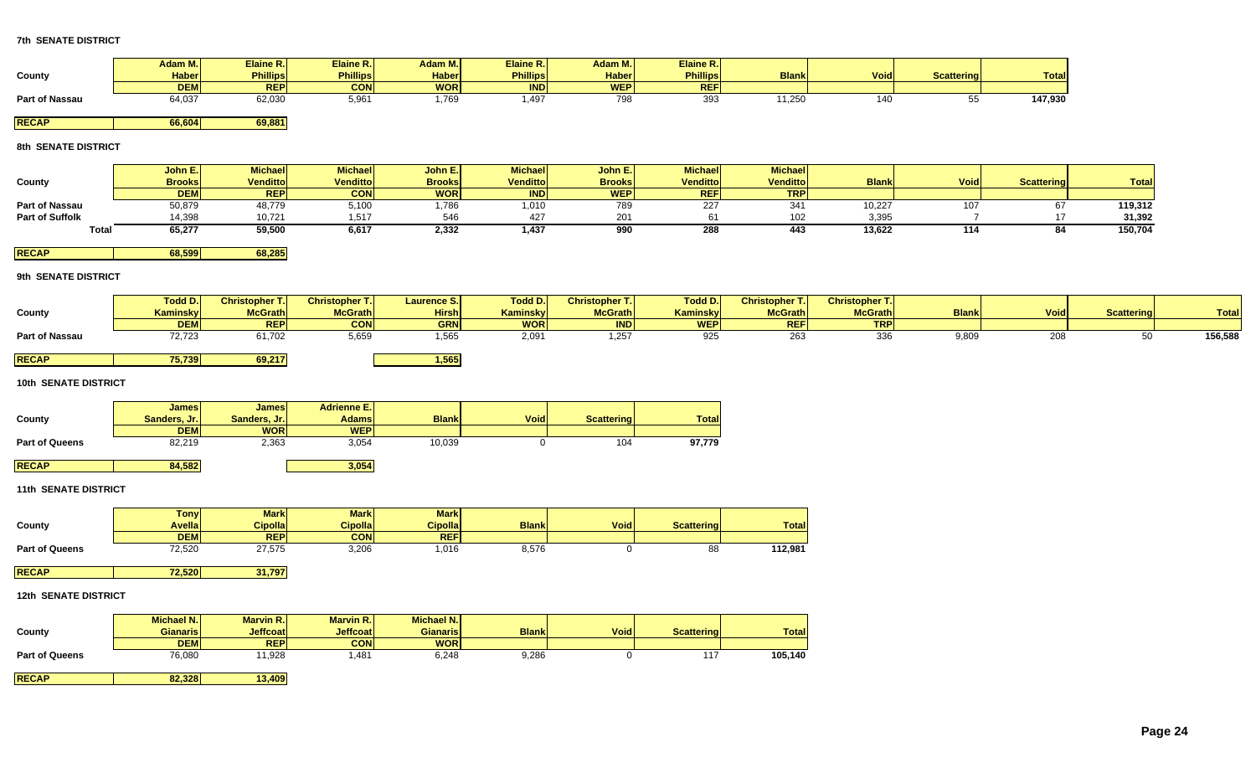|                | Adam M.      | Elaine R.       | Elaine R.       | Adam M.I     | <b>Elaine R.</b> | Adam M.      | Elaine R.  |              |             |                   |              |
|----------------|--------------|-----------------|-----------------|--------------|------------------|--------------|------------|--------------|-------------|-------------------|--------------|
| County         | <b>Haber</b> | <b>Phillips</b> | <b>Phillips</b> | <b>Haber</b> | <b>Phillips</b>  | <b>Haber</b> | Phillips   | <b>Blank</b> | <b>Void</b> | <b>Scattering</b> | <b>Total</b> |
|                | <b>DEM</b>   | <b>REP</b>      | CON<br>יושט     | <b>WOR</b>   | <b>IND</b>       | <b>WEP</b>   | <b>REF</b> |              |             |                   |              |
| Part of Nassau | 64,037       | 62,030          | $\sim$<br>ບ,ບບ  | 769.         | $\Lambda$ $\cap$ | 700<br>່ວບ   | 393        | 11,250       |             |                   | 147,930      |

### **RECAP 66,604** 66,604 69,881

#### **8th SENATE DISTRICT**

| County                 | John E.<br><b>Brooks</b> | <b>Michael</b><br>Venditto | <b>Michael</b><br><b>Venditto</b> | John E.<br><b>Brooks</b> | <b>Michael</b><br><b>Venditto</b> | John E.<br><b>Brooks</b> | <b>Michaell</b><br><b>Venditto</b> | <b>Michael</b><br>Venditto | <b>Blank</b> | Void | <b>Scattering</b> | <b>Total</b> |
|------------------------|--------------------------|----------------------------|-----------------------------------|--------------------------|-----------------------------------|--------------------------|------------------------------------|----------------------------|--------------|------|-------------------|--------------|
|                        | <b>DEM</b>               | <b>REP</b>                 | <b>CON</b>                        | <b>WOR</b>               | <b>IND</b>                        | <b>WEP</b>               | <b>REFI</b>                        | <b>TRP</b>                 |              |      |                   |              |
| <b>Part of Nassau</b>  | 50,879                   | 48,779                     | 5,100                             | ,786                     | 1.010                             | 789                      | 227                                | 0.11<br>ا +ت               | 10,227       | 107  |                   | 119,312      |
| <b>Part of Suffolk</b> | 14,398                   | 10,721                     | 1,517                             | 546                      | 427                               | 201                      |                                    |                            | 3,395        |      |                   | 31,392       |
| Total                  | 65,277                   | 59,500                     | 6,617                             | 2,332                    | 1,437                             | 990                      | 288                                | 443                        | 13,622       | 114  |                   | 150,704      |

**RECAP 68,599 68,285** 

#### **9th SENATE DISTRICT**

|                       | <b>Todd D.I</b> | <b>Christopher T.</b> | <b>Christopher T.</b> | <b>Laurence S.</b> | <b>Todd D.I.</b> | <b>Christopher T.I.</b> | Todd D.    | <b>Christopher T.</b> | <b>Christopher T.I.</b> |              |             |                   |              |
|-----------------------|-----------------|-----------------------|-----------------------|--------------------|------------------|-------------------------|------------|-----------------------|-------------------------|--------------|-------------|-------------------|--------------|
| County                | <b>Kaminsky</b> | <b>McGrath</b>        | <b>McGrath</b>        | <b>Hirsh</b>       | Kaminsky         | <b>McGrath</b>          | Kaminsky   | <b>McGrath</b>        | <b>McGrath</b>          | <b>Blank</b> | <b>Void</b> | <b>Scattering</b> | <b>Total</b> |
|                       | <b>DEM</b>      | <b>REP</b>            | <b>CON</b>            | <b>GRN</b>         | <b>WOR</b>       | <b>IND</b>              | <b>WEP</b> | <b>REF</b>            | <b>TRP</b>              |              |             |                   |              |
| <b>Part of Nassau</b> | 72,723          | 61,702                | 5,659                 | 1,565              | 2,091            | 1,257                   | 925        | 263                   |                         | 9,809        | 208         |                   | 156,588      |
|                       |                 |                       |                       |                    |                  |                         |            |                       |                         |              |             |                   |              |
| <b>RECAP</b>          | 75,739          | 69,217                |                       | 1,565              |                  |                         |            |                       |                         |              |             |                   |              |

#### **10th SENATE DISTRICT**

|                       | Jamesl       | <b>James</b> | <b>Adrienne E.I</b> |              |             |                   |              |
|-----------------------|--------------|--------------|---------------------|--------------|-------------|-------------------|--------------|
| County                | Sanders, Jr. | Sanders, Jr. | <b>Adams</b>        | <b>Blank</b> | <b>Void</b> | <b>Scattering</b> | <b>Total</b> |
|                       | <b>DEM</b>   | <b>WOR</b>   | <b>WEP</b>          |              |             |                   |              |
| <b>Part of Queens</b> | 82,219       | 2,363        | 3,054               | 10,039       |             | 104               | 97,779       |

**RECAP** 84,582 3,054

#### **11th SENATE DISTRICT**

|                       | <b>Tony</b>   | <b>Mark</b>    | <b>Mark</b>    | <b>Mark</b> |              |             |                   |              |
|-----------------------|---------------|----------------|----------------|-------------|--------------|-------------|-------------------|--------------|
| County                | <b>Avella</b> | <b>Cipolla</b> | <b>Cipolla</b> | Cipolla     | <b>Blank</b> | <b>Void</b> | <b>Scattering</b> | <b>Total</b> |
|                       | <b>DEM</b>    | <b>REP</b>     | <b>CON</b>     | <b>REF</b>  |              |             |                   |              |
| <b>Part of Queens</b> | 72,520        | 27.575         | 3,206          | 016, ا      | 8,576        |             | 88                | 12.981       |

**RECAP** | 72,520 31,797

| County                | Michael N.<br><b>Gianaris</b> | <b>Marvin R.I</b><br><b>Jeffcoat</b> | <b>Marvin R.I</b><br><b>Jeffcoat</b> | Michael N.<br><b>Gianaris</b> | <b>Blank</b> | <b>Void</b> | Scattering | <b>Total</b> |
|-----------------------|-------------------------------|--------------------------------------|--------------------------------------|-------------------------------|--------------|-------------|------------|--------------|
|                       | <b>DEM</b>                    | <b>REPI</b>                          | <b>CON</b>                           | <b>WOR</b>                    |              |             |            |              |
| <b>Part of Queens</b> | 76,080                        | 11,928                               | 481. ا                               | 6,248                         | 9,286        |             | 117        | 105,140      |
|                       |                               |                                      |                                      |                               |              |             |            |              |
| <b>RECAP</b>          | 82,328                        | 13,409                               |                                      |                               |              |             |            |              |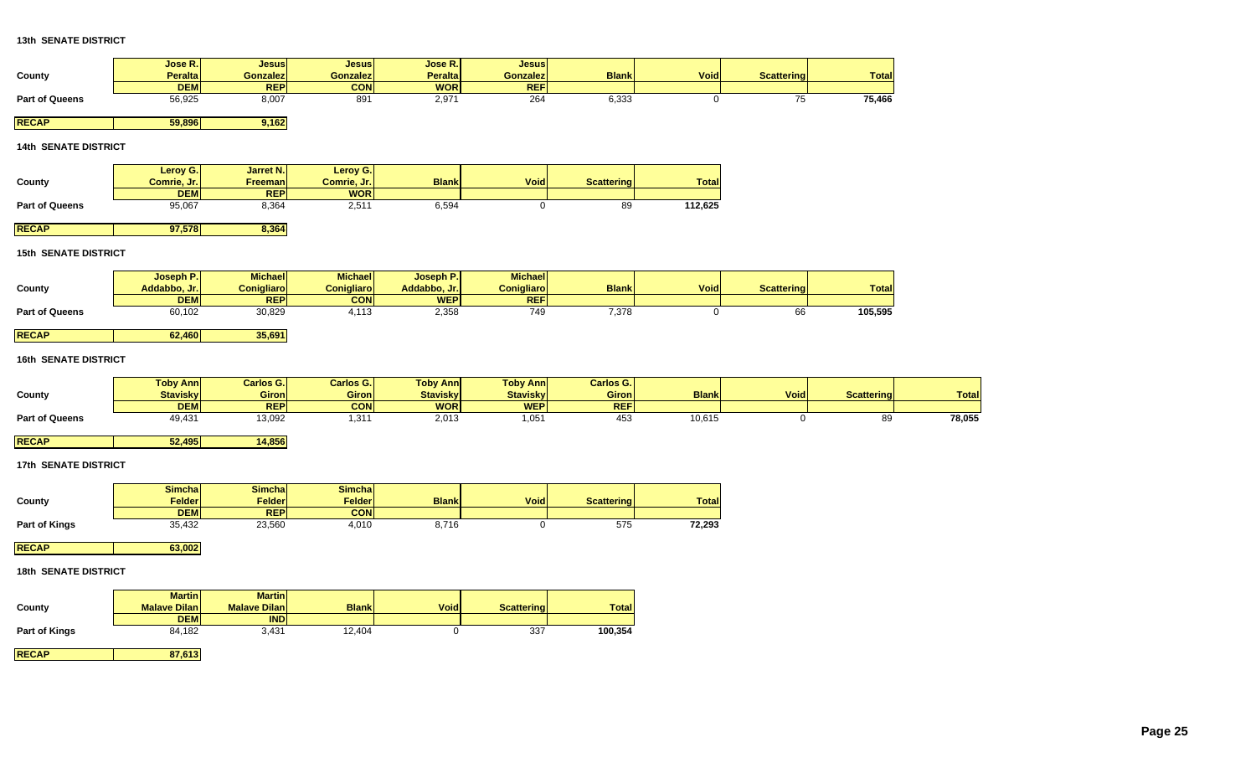|                             | Jose R.                           | <b>Jesus</b>               | <b>Jesus</b>        | Jose R.               | <b>Jesus</b>             |                   |              |                   |                   |              |
|-----------------------------|-----------------------------------|----------------------------|---------------------|-----------------------|--------------------------|-------------------|--------------|-------------------|-------------------|--------------|
| County                      | <b>Peralta</b><br><b>DEM</b>      | <b>Gonzalez</b>            | <b>Gonzalez</b>     | Peralta<br><b>WOR</b> | <b>Gonzalez</b>          | <b>Blank</b>      | <b>Void</b>  | <b>Scattering</b> | <b>Total</b>      |              |
| <b>Part of Queens</b>       | 56,925                            | <b>REP</b><br>8,007        | <b>CON</b><br>891   | 2,971                 | <b>REF</b><br>264        | 6,333             | $\mathbf 0$  | 75                | 75,466            |              |
|                             |                                   |                            |                     |                       |                          |                   |              |                   |                   |              |
| <b>RECAP</b>                | 59,896                            | 9,162                      |                     |                       |                          |                   |              |                   |                   |              |
| 14th SENATE DISTRICT        |                                   |                            |                     |                       |                          |                   |              |                   |                   |              |
|                             |                                   |                            |                     |                       |                          |                   |              |                   |                   |              |
|                             | Leroy G.                          | Jarret N.                  | Leroy G.            |                       |                          |                   |              |                   |                   |              |
| County                      | Comrie, Jr.                       | Freeman                    | Comrie, Jr.         | <b>Blank</b>          | Void                     | <b>Scattering</b> | <b>Total</b> |                   |                   |              |
|                             | <b>DEM</b>                        | REP                        | <b>WOR</b>          |                       |                          |                   |              |                   |                   |              |
| <b>Part of Queens</b>       | 95,067                            | 8,364                      | 2,511               | 6,594                 | $\mathbf 0$              | 89                | 112,625      |                   |                   |              |
| <b>RECAP</b>                | 97,578                            | 8,364                      |                     |                       |                          |                   |              |                   |                   |              |
|                             |                                   |                            |                     |                       |                          |                   |              |                   |                   |              |
| <b>15th SENATE DISTRICT</b> |                                   |                            |                     |                       |                          |                   |              |                   |                   |              |
|                             | Joseph P.                         | <b>Michael</b>             | <b>Michael</b>      | Joseph P.             | <b>Michael</b>           |                   |              |                   |                   |              |
| County                      | Addabbo, Jr.                      | <b>Conigliaro</b>          | <b>Conigliaro</b>   | Addabbo, Jr.          | <b>Conigliaro</b>        | <b>Blank</b>      | Void         | <b>Scattering</b> | <b>Total</b>      |              |
|                             | <b>DEM</b>                        | <b>REP</b>                 | <b>CON</b>          | <b>WEP</b>            | <b>REF</b>               |                   |              |                   |                   |              |
| <b>Part of Queens</b>       | 60,102                            | 30,829                     | 4,113               | 2,358                 | 749                      | 7,378             | $\mathbf 0$  | 66                | 105,595           |              |
| <b>RECAP</b>                | 62,460                            | 35,691                     |                     |                       |                          |                   |              |                   |                   |              |
|                             |                                   |                            |                     |                       |                          |                   |              |                   |                   |              |
| <b>16th SENATE DISTRICT</b> |                                   |                            |                     |                       |                          |                   |              |                   |                   |              |
|                             |                                   |                            |                     |                       |                          |                   |              |                   |                   |              |
|                             |                                   |                            |                     |                       |                          |                   |              |                   |                   |              |
|                             | <b>Toby Ann</b>                   | Carlos G.                  | Carlos G.           | <b>Toby Ann</b>       | <b>Toby Ann</b>          | Carlos G.         |              |                   |                   |              |
| County                      | <b>Stavisky</b>                   | <b>Giron</b>               | <b>Giron</b>        | <b>Stavisky</b>       | <b>Stavisky</b>          | <b>Giron</b>      | <b>Blank</b> | Void              | <b>Scattering</b> | <b>Total</b> |
| <b>Part of Queens</b>       | <b>DEM</b><br>49,431              | REP<br>13,092              | <b>CON</b><br>1,311 | <b>WOR</b><br>2,013   | <b>WEP</b><br>1,051      | <b>REF</b><br>453 | 10,615       | $\mathbf 0$       | 89                | 78,055       |
|                             |                                   |                            |                     |                       |                          |                   |              |                   |                   |              |
| <b>RECAP</b>                | 52,495                            | 14,856                     |                     |                       |                          |                   |              |                   |                   |              |
|                             |                                   |                            |                     |                       |                          |                   |              |                   |                   |              |
| 17th SENATE DISTRICT        |                                   |                            |                     |                       |                          |                   |              |                   |                   |              |
|                             | <b>Simcha</b>                     | <b>Simcha</b>              | <b>Simcha</b>       |                       |                          |                   |              |                   |                   |              |
| County                      | <b>Felder</b>                     | Felder                     | Felder              | <b>Blank</b>          | <b>Void</b>              | <b>Scattering</b> | <b>Total</b> |                   |                   |              |
|                             | <b>DEM</b>                        | <b>REP</b>                 | <b>CON</b>          |                       |                          |                   |              |                   |                   |              |
| <b>Part of Kings</b>        | 35,432                            | 23,560                     | 4,010               | 8,716                 | 0                        | 575               | 72,293       |                   |                   |              |
|                             |                                   |                            |                     |                       |                          |                   |              |                   |                   |              |
| <b>RECAP</b>                | 63,002                            |                            |                     |                       |                          |                   |              |                   |                   |              |
| 18th SENATE DISTRICT        |                                   |                            |                     |                       |                          |                   |              |                   |                   |              |
|                             |                                   |                            |                     |                       |                          |                   |              |                   |                   |              |
|                             | <b>Martin</b>                     | <b>Martin</b>              |                     |                       |                          |                   |              |                   |                   |              |
| County                      | <b>Malave Dilan</b><br><b>DEM</b> | <b>Malave Dilan</b><br>IND | <b>Blank</b>        | <b>Void</b>           | <b>Scattering</b><br>337 | <b>Total</b>      |              |                   |                   |              |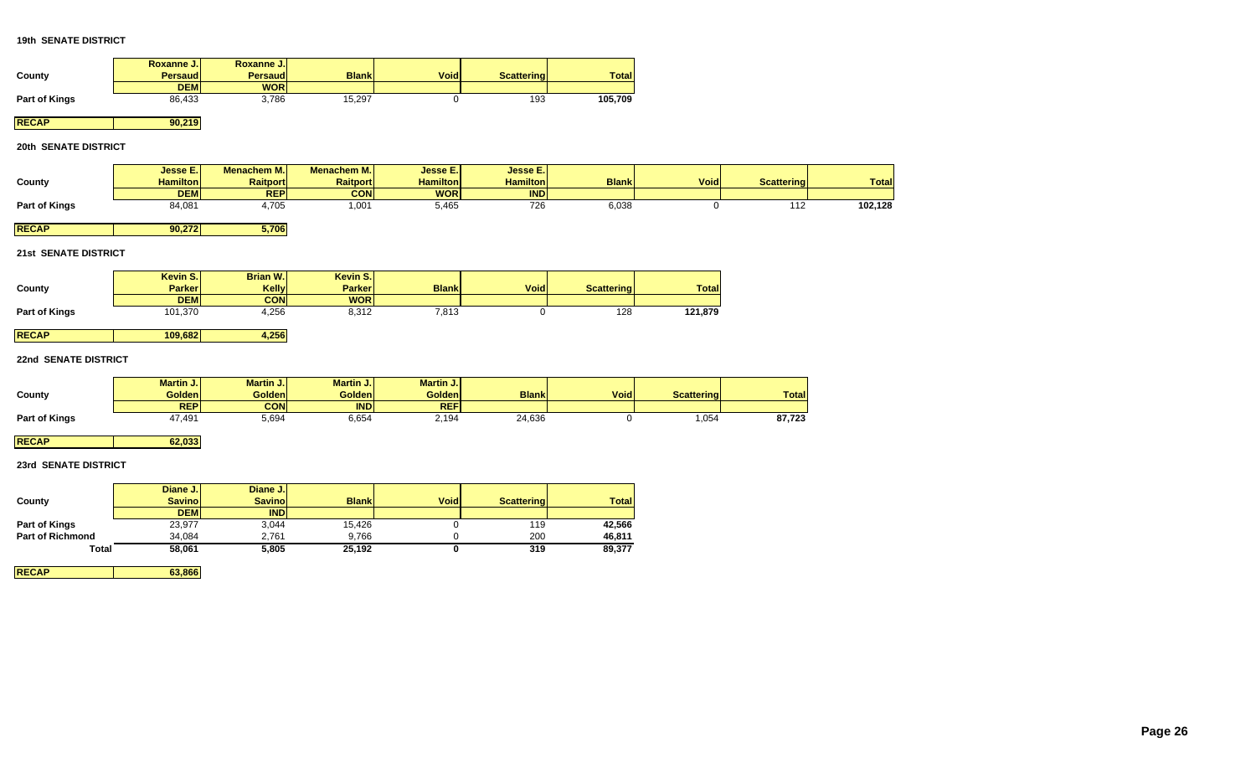|                      | Roxanne J.I<br><b>Persaud</b> | Roxanne J.I<br><b>Persaud</b> | <b>Blank</b> | <b>Void</b> | Scattering | <b>Total</b> |
|----------------------|-------------------------------|-------------------------------|--------------|-------------|------------|--------------|
| County               |                               |                               |              |             |            |              |
|                      | <b>DEM</b>                    | <b>WOR</b>                    |              |             |            |              |
| <b>Part of Kings</b> | 86,433                        | 3,786                         | 15,297       |             | 193        | 105,709      |

### **RECAP** 90,219

#### **20th SENATE DISTRICT**

|                      | Jesse E.   | Menachem M. | <b>Menachem M.I.</b> | Jesse E.   | <b>Jesse E.I</b> |              |             |                   |              |
|----------------------|------------|-------------|----------------------|------------|------------------|--------------|-------------|-------------------|--------------|
| County               | Hamilton   | Raitport    | <b>Raitport</b>      | Hamilton   | <b>Hamilton</b>  | <b>Blank</b> | <b>Void</b> | <b>Scattering</b> | <b>Total</b> |
|                      | <b>DEM</b> | <b>REPI</b> | <b>CON</b>           | <b>WOR</b> | <b>IND</b>       |              |             |                   |              |
| <b>Part of Kings</b> | 84,081     | 1.705       | 0.001                | 5,465      | 726              | 6,038        |             | 140<br>╹          | 102,128      |

**RECAP 90,272 5,706** 

#### **21st SENATE DISTRICT**

|                      | Kevin S.I     | <b>Brian W.</b> | Kevin S.I     |              |             |                   |              |
|----------------------|---------------|-----------------|---------------|--------------|-------------|-------------------|--------------|
| County               | <b>Parker</b> | Kelly           | <b>Parker</b> | <b>Blank</b> | <b>Void</b> | <b>Scattering</b> | <b>Total</b> |
|                      | <b>DEM</b>    | CONI            | <b>WOR</b>    |              |             |                   |              |
| <b>Part of Kings</b> | 101,370       | 4,256           | 8,312         | 7,813        |             | 128               | 121,879      |

**RECAP** 109,682 4,256

#### **22nd SENATE DISTRICT**

|                      | <b>Martin J.</b> | <b>Martin J.I</b> | <b>Martin J.I</b> | <b>Martin J.I</b> |              |             |                   |              |
|----------------------|------------------|-------------------|-------------------|-------------------|--------------|-------------|-------------------|--------------|
| County               | <b>Golden</b>    | Golden            | <b>Golden</b>     | <b>Golden</b>     | <b>Blank</b> | <b>Void</b> | <b>Scattering</b> | <b>Total</b> |
|                      | <b>REPI</b>      | <b>CON</b>        | <b>IND</b>        | <b>REF</b>        |              |             |                   |              |
| <b>Part of Kings</b> | 47,491           | 5,694             | 6,654             | 2,194             | 24,636       |             | .054              | 87,723       |

## **RECAP** 62,033

#### **23rd SENATE DISTRICT**

| County                  | Diane J.<br><b>Savino</b> | Diane J.<br><b>Savinol</b> | <b>Blank</b> | <b>Void</b> | <b>Scattering</b> | <b>Total</b> |
|-------------------------|---------------------------|----------------------------|--------------|-------------|-------------------|--------------|
|                         | <b>DEM</b>                | <b>IND</b>                 |              |             |                   |              |
| <b>Part of Kings</b>    | 23,977                    | 3,044                      | 15,426       |             | 119               | 42,566       |
| <b>Part of Richmond</b> | 34.084                    | 2.761                      | 9.766        |             | 200               | 46,811       |
| Total                   | 58,061                    | 5,805                      | 25,192       |             | 319               | 89,377       |

**RECAP 63,866**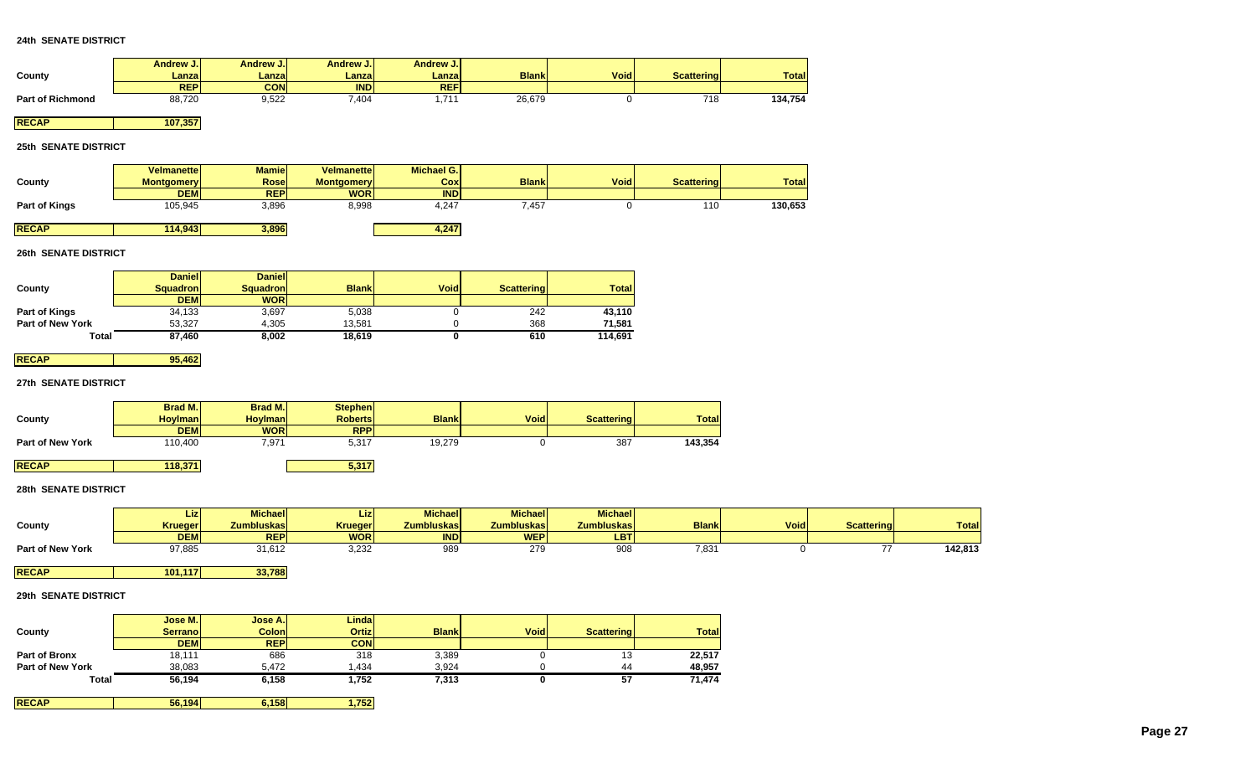| County                  | Andrew J.I<br>Lanzal | <b>Andrew J.I</b><br>Lanzal | \ndrew J.I<br>Lanzal | Andrew J.I<br>Lanzal | <b>Blank</b> | <b>Void</b> | <b>Scattering</b> | Totall  |
|-------------------------|----------------------|-----------------------------|----------------------|----------------------|--------------|-------------|-------------------|---------|
|                         | <b>REP</b>           | CONI                        | <b>IND</b>           | <b>REF</b>           |              |             |                   |         |
| <b>Part of Richmond</b> | 88,720               | 9,522                       | .404                 | 74                   | 26,679       |             | 718               | 134,754 |

### **RECAP** 107,357

#### **25th SENATE DISTRICT**

| County               | <b>Velmanette</b><br><b>Montgomery</b> | <b>Mamiel</b><br>Rosel | <b>Velmanettel</b><br><b>Montgomery</b> | <b>Michael G.</b><br>Cox | <b>Blank</b> | <b>Void</b> | <b>Scattering</b> | <b>Total</b> |
|----------------------|----------------------------------------|------------------------|-----------------------------------------|--------------------------|--------------|-------------|-------------------|--------------|
|                      | <b>DEM</b>                             | <b>REP</b>             | <b>WOR</b>                              | <b>IND</b>               |              |             |                   |              |
| <b>Part of Kings</b> | 105,945                                | 3,896                  | 8,998                                   | 4.247                    | 457'         |             | 110               | 130,653      |
| <b>RECAP</b>         | 114,943                                | 3,896                  |                                         | 4,247                    |              |             |                   |              |

#### **26th SENATE DISTRICT**

|                         | <b>Daniel</b>   | <b>Daniel</b> |              |             |                   |              |
|-------------------------|-----------------|---------------|--------------|-------------|-------------------|--------------|
| County                  | <b>Squadron</b> | Squadron      | <b>Blank</b> | <b>Void</b> | <b>Scattering</b> | <b>Total</b> |
|                         | <b>DEM</b>      | <b>WOR</b>    |              |             |                   |              |
| <b>Part of Kings</b>    | 34,133          | 3,697         | 5,038        |             | 242               | 43,110       |
| <b>Part of New York</b> | 53.327          | 4.305         | 13.581       |             | 368               | 71.581       |
| Total                   | 87,460          | 8,002         | 18,619       |             | 610               | 114,691      |

## **RECAP 35,462**

#### **27th SENATE DISTRICT**

|                         | <b>Brad M.I</b> | <b>Brad M.I.</b> | Stephen        |              |             |                   |              |
|-------------------------|-----------------|------------------|----------------|--------------|-------------|-------------------|--------------|
| County                  | <b>Hoviman</b>  | <b>Hoviman</b>   | <b>Roberts</b> | <b>Blank</b> | <b>Void</b> | <b>Scattering</b> | <b>Total</b> |
|                         | <b>DEM</b>      | <b>WOR</b>       | <b>RPP</b>     |              |             |                   |              |
| <b>Part of New York</b> | 110,400         | 7,971            | 5,317          | 19,279       |             | 387               | 143,354      |

**RECAP 118,371** 118,371

#### **28th SENATE DISTRICT**

|                         | LIZ            | <b>Michael</b>    | <b>ALIZ</b>    | <b>Michael</b>    | <b>Michael</b>    | <b>Michael</b>    |                  |             |                   |              |
|-------------------------|----------------|-------------------|----------------|-------------------|-------------------|-------------------|------------------|-------------|-------------------|--------------|
| County                  | <b>Krueger</b> | <b>Zumbluskas</b> | <b>Krueger</b> | <b>Zumbluskas</b> | <b>Zumbluskas</b> | <b>Zumbluskas</b> | <b>Blank</b>     | <b>Void</b> | <b>Scattering</b> | <b>Total</b> |
|                         | <b>DEM</b>     | <b>REP</b>        | <b>WOR</b>     | <b>IND</b>        | <b>WEP</b>        | LBT <sup>'</sup>  |                  |             |                   |              |
| <b>Part of New York</b> | 97,885         | 31,612            | 3,232          | 989               | ، ا ک             | 908               | $^{\prime}$ ,831 |             |                   | 142,813      |

**RECAP 101,117** 33,788

|                         | Jose M.         | <b>Jose A.</b> | Lindal       |              |             |                   |              |
|-------------------------|-----------------|----------------|--------------|--------------|-------------|-------------------|--------------|
| County                  | <b>Serranol</b> | Colon          | <b>Ortiz</b> | <b>Blank</b> | <b>Void</b> | <b>Scattering</b> | <b>Total</b> |
|                         | <b>DEM</b>      | <b>REP</b>     | <b>CON</b>   |              |             |                   |              |
| <b>Part of Bronx</b>    | 18,111          | 686            | 318          | 3,389        |             | 13                | 22,517       |
| <b>Part of New York</b> | 38.083          | 5.472          | 1.434        | 3,924        |             | 44                | 48,957       |
| Total                   | 56,194          | 6,158          | 1,752        | 7,313        |             | 57                | 71,474       |
|                         |                 |                |              |              |             |                   |              |
| <b>RECAP</b>            | 56,194          | 6,158          | 1,752        |              |             |                   |              |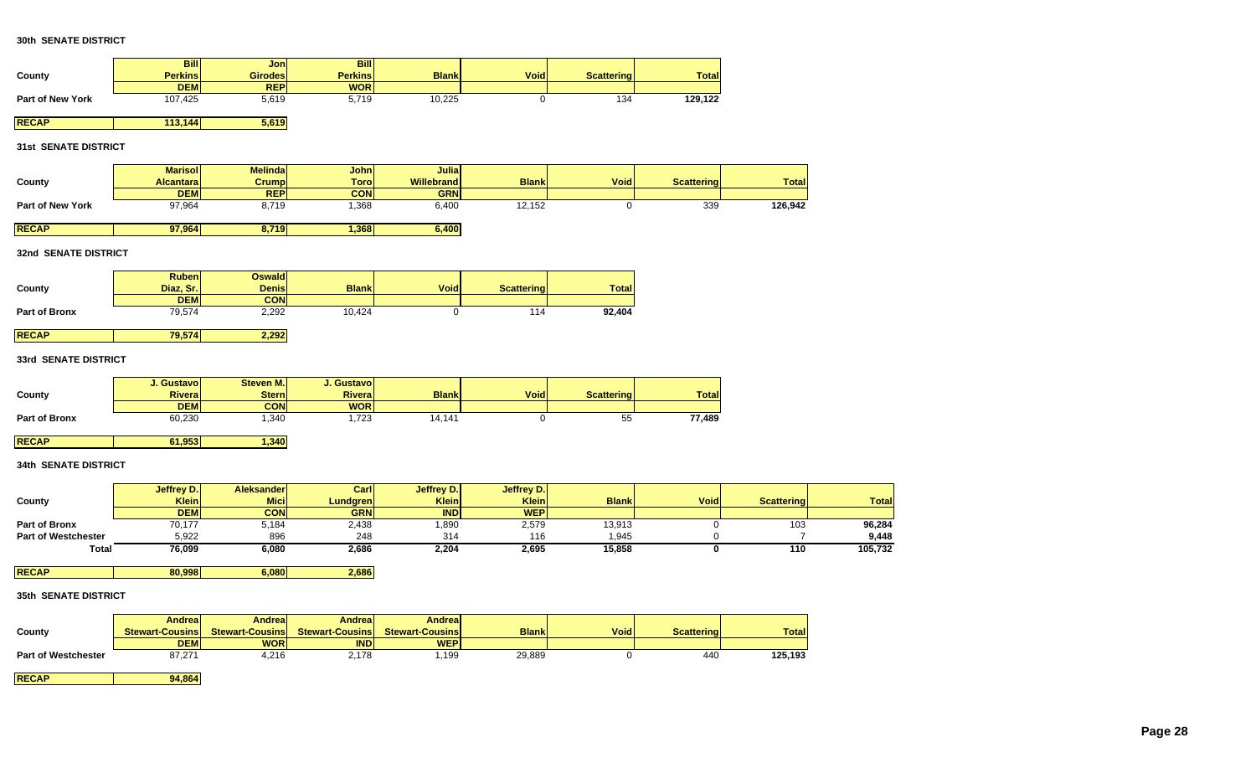- I

|                             | <b>Bill</b>                    | Jon                        | Bill                      |                          |                   |                   |                   |                   |              |
|-----------------------------|--------------------------------|----------------------------|---------------------------|--------------------------|-------------------|-------------------|-------------------|-------------------|--------------|
| County                      | <b>Perkins</b>                 | <b>Girodes</b>             | <b>Perkins</b>            | <b>Blank</b>             | <b>Void</b>       | <b>Scattering</b> | <b>Total</b>      |                   |              |
|                             | <b>DEM</b>                     | <b>REP</b>                 | <b>WOR</b>                |                          |                   |                   |                   |                   |              |
| Part of New York            | 107,425                        | 5,619                      | 5,719                     | 10,225                   | 0                 | 134               | 129,122           |                   |              |
| <b>RECAP</b>                | 113,144                        | 5,619                      |                           |                          |                   |                   |                   |                   |              |
| <b>31st SENATE DISTRICT</b> |                                |                            |                           |                          |                   |                   |                   |                   |              |
|                             |                                |                            |                           |                          |                   |                   |                   |                   |              |
|                             | <b>Marisol</b>                 | <b>Melinda</b>             | <b>John</b>               | Julia                    |                   |                   |                   |                   |              |
| County                      | <b>Alcantara</b><br><b>DEM</b> | <b>Crump</b><br><b>REP</b> | <b>Toro</b><br><b>CON</b> | Willebrand<br><b>GRN</b> | <b>Blank</b>      | <b>Void</b>       | <b>Scattering</b> | <b>Total</b>      |              |
| Part of New York            | 97,964                         |                            |                           |                          | 12,152            | $\mathbf 0$       | 339               | 126,942           |              |
|                             |                                | 8,719                      | 1,368                     | 6,400                    |                   |                   |                   |                   |              |
| <b>RECAP</b>                | 97,964                         | 8,719                      | 1,368                     | 6,400                    |                   |                   |                   |                   |              |
| 32nd SENATE DISTRICT        |                                |                            |                           |                          |                   |                   |                   |                   |              |
|                             |                                |                            |                           |                          |                   |                   |                   |                   |              |
|                             | <b>Ruben</b>                   | <b>Oswald</b>              |                           |                          |                   |                   |                   |                   |              |
| County                      | Diaz, Sr.                      | <b>Denis</b>               | <b>Blank</b>              | <b>Void</b>              | <b>Scattering</b> | <b>Total</b>      |                   |                   |              |
|                             | <b>DEM</b>                     | <b>CON</b>                 |                           |                          |                   |                   |                   |                   |              |
| Part of Bronx               | 79,574                         | 2,292                      | 10,424                    | 0                        | 114               | 92,404            |                   |                   |              |
| <b>RECAP</b>                | 79,574                         | 2,292                      |                           |                          |                   |                   |                   |                   |              |
| 33rd SENATE DISTRICT        |                                |                            |                           |                          |                   |                   |                   |                   |              |
|                             |                                |                            |                           |                          |                   |                   |                   |                   |              |
|                             | J. Gustavo                     | Steven M.                  | J. Gustavo                |                          |                   |                   |                   |                   |              |
| County                      | <b>Rivera</b>                  | <b>Stern</b>               | Rivera                    | <b>Blank</b>             | <b>Void</b>       | <b>Scattering</b> | <b>Total</b>      |                   |              |
|                             | <b>DEM</b>                     | <b>CON</b>                 | <b>WOR</b>                |                          |                   |                   |                   |                   |              |
| Part of Bronx               | 60,230                         | 1,340                      | 1,723                     | 14,141                   | 0                 | 55                | 77,489            |                   |              |
| <b>RECAP</b>                | 61,953                         | 1,340                      |                           |                          |                   |                   |                   |                   |              |
| 34th SENATE DISTRICT        |                                |                            |                           |                          |                   |                   |                   |                   |              |
|                             |                                |                            |                           |                          |                   |                   |                   |                   |              |
|                             | Jeffrey D.                     | <b>Aleksander</b>          | Carl                      | Jeffrey D.               | Jeffrey D.        |                   |                   |                   |              |
| County                      | <b>Klein</b>                   | <b>Mici</b>                | <b>Lundgren</b>           | <b>Klein</b>             | <b>Klein</b>      | <b>Blank</b>      | <b>Void</b>       | <b>Scattering</b> | <b>Total</b> |
|                             | <b>DEM</b>                     | <b>CON</b>                 | <b>GRN</b>                | <b>IND</b>               | <b>WEP</b>        |                   |                   |                   |              |
| Part of Bronx               | 70,177                         | 5,184                      | 2,438                     | 1,890                    | 2,579             | 13,913            | 0                 | 103               | 96,284       |
| <b>Part of Westchester</b>  | 5,922                          | 896                        | 248                       | 314                      | 116               | 1,945             | 0                 | 7                 | 9,448        |
| <b>Total</b>                | 76,099                         | 6,080                      | 2,686                     | 2,204                    | 2,695             | 15,858            | $\pmb{0}$         | 110               | 105,732      |
| <b>RECAP</b>                | 80,998                         | 6,080                      | 2,686                     |                          |                   |                   |                   |                   |              |
| <b>35th SENATE DISTRICT</b> |                                |                            |                           |                          |                   |                   |                   |                   |              |

|                            | Andrea          | Andreal                | Andreal                | Andreal                |              |             |                   |              |
|----------------------------|-----------------|------------------------|------------------------|------------------------|--------------|-------------|-------------------|--------------|
| County                     | Stewart-Cousins | <b>Stewart-Cousins</b> | <b>Stewart-Cousins</b> | <b>Stewart-Cousins</b> | <b>Blank</b> | <b>Void</b> | <b>Scattering</b> | <b>Total</b> |
|                            | <b>DEM</b>      | <b>WOR</b>             | <b>IND</b>             | <b>WEP</b>             |              |             |                   |              |
| <b>Part of Westchester</b> | 87.271          | 4.216                  | 2,178                  | .199                   | 29,889       |             | 440               | 125,193      |

```
RECAP 94,864
```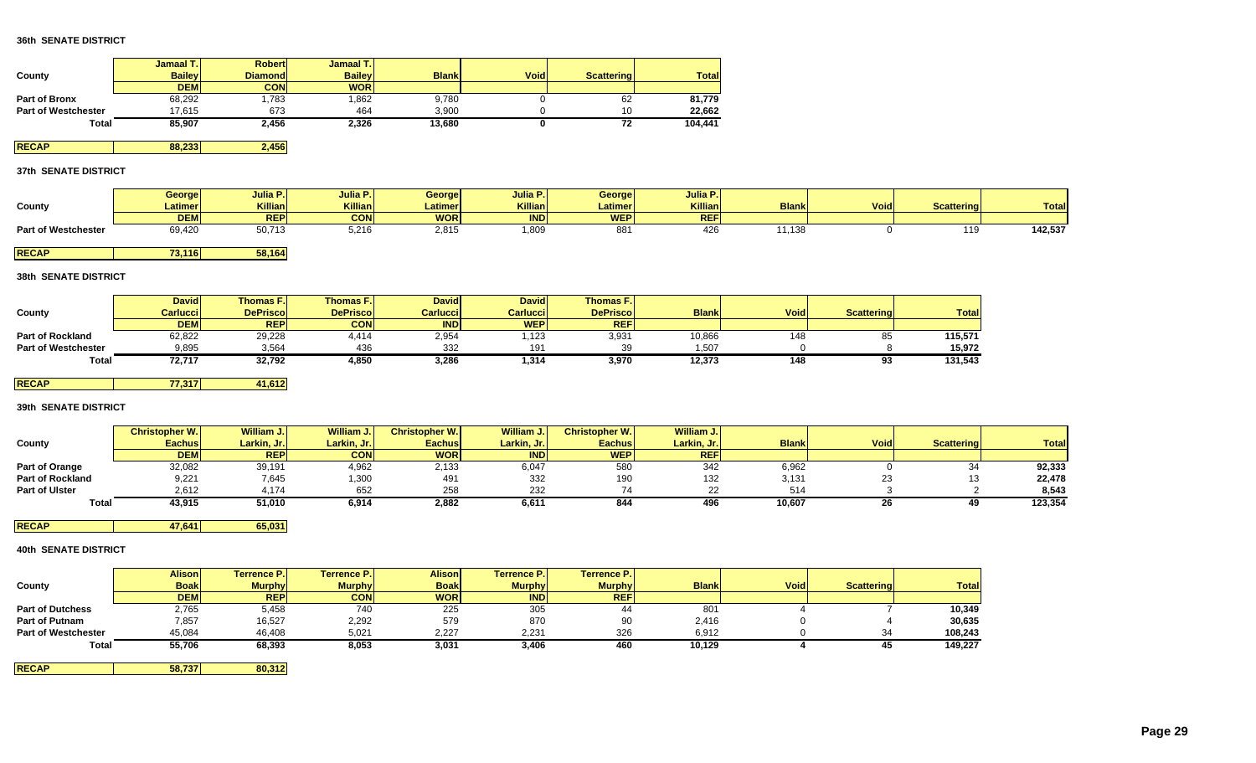| County                     | Jamaal T.<br><b>Bailey</b> | Robert<br><b>Diamondl</b> | Jamaal T.<br><b>Bailey</b> | <b>Blank</b> | <b>Void</b> | <b>Scattering</b> | <b>Total</b> |
|----------------------------|----------------------------|---------------------------|----------------------------|--------------|-------------|-------------------|--------------|
|                            | <b>DEM</b>                 | <b>CON</b>                | <b>WOR</b>                 |              |             |                   |              |
| <b>Part of Bronx</b>       | 68.292                     | .783                      | .862                       | 9.780        |             | 62                | 81,779       |
| <b>Part of Westchester</b> | 17.615                     | 673                       | 464                        | 3.900        |             |                   | 22.662       |
| <b>Total</b>               | 85.907                     | 2.456                     | 2,326                      | 13,680       |             | 72<br>. .         | 104,441      |

**RECAP 88,233 2,456** 

#### **37th SENATE DISTRICT**

|                     | George      | Julia P.        | <b>Julia P.</b> | <b>George</b> | Julia P.       | George     | Julia P.   |                          |             |                   |              |
|---------------------|-------------|-----------------|-----------------|---------------|----------------|------------|------------|--------------------------|-------------|-------------------|--------------|
| County              | Latimer     | <b>Killian</b>  | <b>Killian</b>  | Latimer       | <b>Killian</b> | Latimer    | Killian    | <b>Blank</b>             | <b>Void</b> | <b>Scattering</b> | <b>Total</b> |
|                     | <b>DEMI</b> | <b>REP</b>      | <b>CON</b>      | <b>WOR</b>    | anv.           | <b>WEP</b> | <b>REF</b> |                          |             |                   |              |
| Part of Westchester | 69,420      | EN 719<br>ט ו,ט | 5,216           | 2,815         | 1,809          | 56.        | 420        | $\overline{a}$<br>סטו, ו |             |                   | 142,537      |

**RECAP** 73,116 58,164

#### **38th SENATE DISTRICT**

|                            | <b>David</b> | <b>Thomas F.</b> | <b>Thomas F.I.</b> | <b>David</b>    | <b>David</b>    | <b>Thomas F.I.</b> |              |             |                   |              |
|----------------------------|--------------|------------------|--------------------|-----------------|-----------------|--------------------|--------------|-------------|-------------------|--------------|
| County                     | Carluccil    | <b>DePriscol</b> | <b>DePriscol</b>   | <b>Carlucci</b> | <b>Carlucci</b> | <b>DePriscol</b>   | <b>Blank</b> | <b>Void</b> | <b>Scattering</b> | <b>Total</b> |
|                            | <b>DEM</b>   | <b>REP</b>       | <b>CON</b>         | <b>IND</b>      | <b>WEP</b>      | <b>REF</b>         |              |             |                   |              |
| <b>Part of Rockland</b>    | 62,822       | 29,228           | 4.414              | 2,954           | .123            | 3.93'              | 10,866       | 48ء         |                   | 115.571      |
| <b>Part of Westchester</b> | 9.895        | 3.564            | 436                | 332             | 191             | 39                 | 1.507        |             |                   | 15.972       |
| Total                      | 72,717       | 32,792           | 4,850              | 3,286           | 314.،           | 3,970              | 12,373       | 148         | ດາ                | 131,543      |

### **RECAP** 77,317 41,612

#### **39th SENATE DISTRICT**

|                         | <b>Christopher W.I.</b> | William J.  | William J.  | <b>Christopher W.</b> | William J.    | <b>Christopher W.</b> | William J.  |              |             |                   |              |
|-------------------------|-------------------------|-------------|-------------|-----------------------|---------------|-----------------------|-------------|--------------|-------------|-------------------|--------------|
| County                  | <b>Eachus</b>           | Larkin, Jr. | Larkin, Jr. | <b>Eachus</b>         | Larkin, Jr. I | <b>Eachus</b>         | Larkin, Jr. | <b>Blank</b> | <b>Void</b> | <b>Scattering</b> | <b>Total</b> |
|                         | <b>DEM</b>              | <b>REP</b>  | <b>CON</b>  | <b>WOR</b>            | <b>IND</b>    | <b>WEP</b>            | <b>REF</b>  |              |             |                   |              |
| Part of Orange          | 32,082                  | 39,191      | 4,962       | 2,133                 | 6,047         | 580                   | 342         | 6,962        |             |                   | 92,333       |
| <b>Part of Rockland</b> | 9,221                   | 7,645       | 1,300       | 491                   | 332           | 190                   | 132         | 3,131        |             |                   | 22,478       |
| Part of Ulster          | 2,612                   | 4.174       | 652         | 258                   | 232           |                       |             | 514          |             |                   | 8,543        |
| <b>Total</b>            | 43,915                  | 51,010      | 6,914       | 2,882                 | 6,61          | 844                   | 496         | 10,607       | 26          | 49                | 123,354      |

**RECAP 47,641 65,031** 

|                            | <b>Alison</b> | Terrence P.I  | <b>Terrence P.I.</b> | <b>Alison</b> | Terrence P.I  | Terrence P.I  |              |             |                   |              |
|----------------------------|---------------|---------------|----------------------|---------------|---------------|---------------|--------------|-------------|-------------------|--------------|
| County                     | <b>Boak</b>   | <b>Murphy</b> | <b>Murphy</b>        | <b>Boak</b>   | <b>Murphy</b> | <b>Murphy</b> | <b>Blank</b> | <b>Void</b> | <b>Scattering</b> | <b>Total</b> |
|                            | <b>DEM</b>    | <b>REP</b>    | <b>CON</b>           | <b>WOR</b>    | <b>IND</b>    | <b>REF</b>    |              |             |                   |              |
| <b>Part of Dutchess</b>    | 2,765         | 5,458         | 740                  | 225           | 305           | 44            | 801          |             |                   | 10,349       |
| <b>Part of Putnam</b>      | 7,857         | 16,527        | 2,292                | 579           | 870           | 90            | 2,416        |             |                   | 30,635       |
| <b>Part of Westchester</b> | 45,084        | 46,408        | 5,021                | 2.227         | 2,231         | 326           | 6,912        |             |                   | 108.243      |
| Total                      | 55,706        | 68,393        | 8,053                | 3,031         | 3,406         | 460           | 10,129       |             | 45                | 149,227      |

```
RECAP 58,737 80,312
```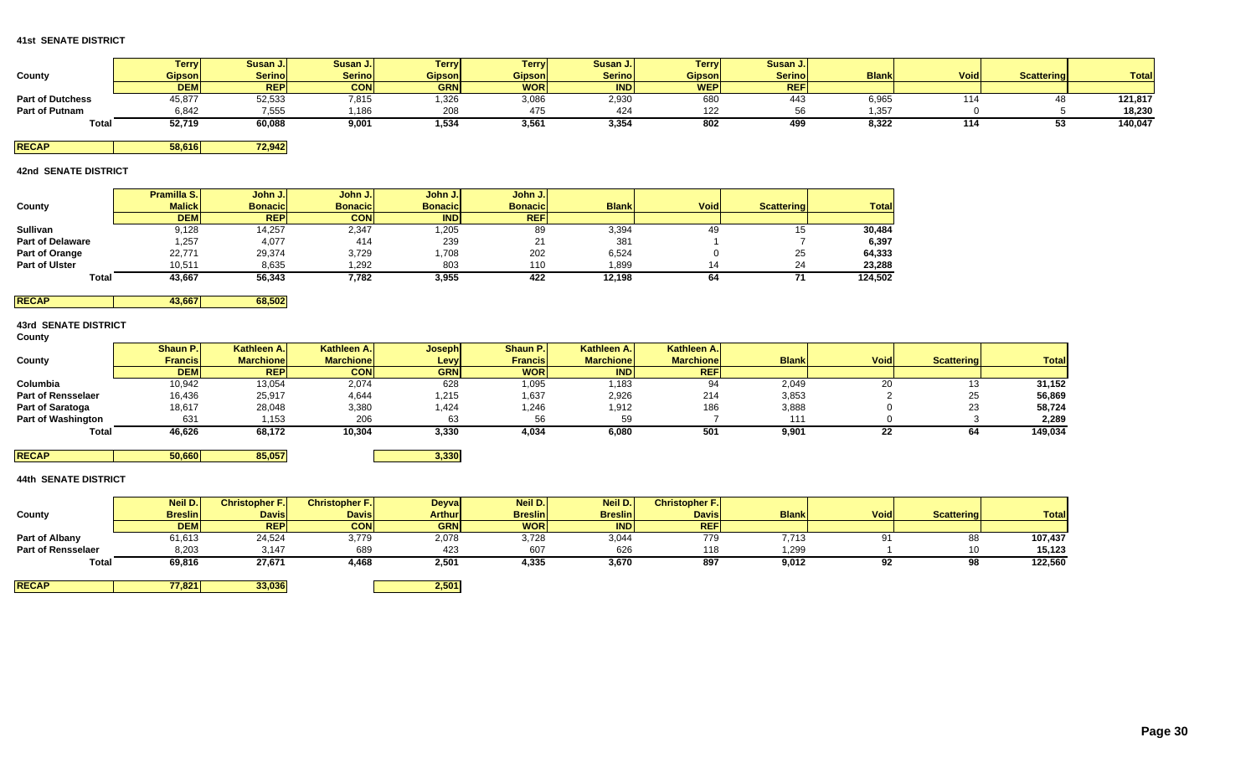|                         | <b>Terry</b>  | <b>Susan J.</b> | Susan J.I     | <b>Terry</b>  | Terry      | Susan J.      | Terry      | Susan J.      |              |             |                   |              |
|-------------------------|---------------|-----------------|---------------|---------------|------------|---------------|------------|---------------|--------------|-------------|-------------------|--------------|
| County                  | <b>Gipson</b> | <b>Serino</b>   | <b>Serino</b> | <b>Gipson</b> | Gipsonl    | <b>Serino</b> | Gipson     | <b>Serino</b> | <b>Blank</b> | <b>Void</b> | <b>Scattering</b> | <b>Total</b> |
|                         | <b>DEM</b>    | <b>REP</b>      | <b>CON</b>    | <b>GRN</b>    | <b>WOR</b> | <b>IND</b>    | <b>WEP</b> | REF           |              |             |                   |              |
| <b>Part of Dutchess</b> | 45,877        | 52,533          | 7,815         | ,326          | 3,086      | 2,930         | 680        | 44ث           | 6,965        |             |                   | 121,817      |
| <b>Part of Putnam</b>   | 6,842         | 7,555           | 1.186         | 208           | 475        | 424           | 122        |               | .357         |             |                   | 18,230       |
| Tota.                   | 52,719        | 60,088          | 9,001         | 1,534         | 3,561      | 3,354         | 802        | 499           | 8,322        |             |                   | 140,047      |

**RECAP 58,616** 72,942

#### **42nd SENATE DISTRICT**

|                         | Pramilla S.   | John J.        | John J.        | John J.        | John J.        |              |       |                   |              |
|-------------------------|---------------|----------------|----------------|----------------|----------------|--------------|-------|-------------------|--------------|
| County                  | <b>Malick</b> | <b>Bonacic</b> | <b>Bonacic</b> | <b>Bonacic</b> | <b>Bonacic</b> | <b>Blank</b> | Voidl | <b>Scattering</b> | <b>Total</b> |
|                         | <b>DEM</b>    | <b>REPI</b>    | <b>CON</b>     | <b>IND</b>     | <b>REF</b>     |              |       |                   |              |
| <b>Sullivan</b>         | 9,128         | 14,257         | 2,347          | .205           | 89             | 3,394        | 49    | 15                | 30,484       |
| <b>Part of Delaware</b> | ,257          | 4,077          | 414            | 239            | 21             | 381          |       |                   | 6,397        |
| Part of Orange          | 22,771        | 29,374         | 3.729          | ,708           | 202            | 6,524        |       | 25                | 64,333       |
| Part of Ulster          | 10,511        | 8,635          | 292. ا         | 803            | 110            | 899، ا       |       | 24                | 23,288       |
| Total                   | 43,667        | 56,343         | 7,782          | 3,955          | 422            | 12.198       | 64    |                   | 124.502      |

**RECAP 43,667 68,502** 

#### **43rd SENATE DISTRICT County**

| -------                   |            |                  |                  |               |                |                   |                   |              |             |                   |              |
|---------------------------|------------|------------------|------------------|---------------|----------------|-------------------|-------------------|--------------|-------------|-------------------|--------------|
|                           | Shaun P.   | Kathleen A.      | Kathleen A.      | <b>Joseph</b> | Shaun P.       | Kathleen A.       | Kathleen A.       |              |             |                   |              |
| County                    | Francis    | <b>Marchione</b> | <b>Marchione</b> | Levy          | <b>Francis</b> | <b>Marchionel</b> | <b>Marchionel</b> | <b>Blank</b> | <b>Void</b> | <b>Scattering</b> | <b>Total</b> |
|                           | <b>DEM</b> | <b>REP</b>       | <b>CON</b>       | <b>GRN</b>    | <b>WOR</b>     | <b>IND</b>        | <b>REF</b>        |              |             |                   |              |
| Columbia                  | 10,942     | 13,054           | 2,074            | 628           | 1,095          | l,183             |                   | 2,049        | ZU          | د ا               | 31,152       |
| <b>Part of Rensselaer</b> | 16,436     | 25,917           | 4,644            | 1,215         | 1,637          | 2,926             | 214               | 3,853        |             | 25                | 56,869       |
| Part of Saratoga          | 18,617     | 28,048           | 3,380            | 1,424         | 1,246          | 1,912             | 186               | 3,888        |             | 23                | 58,724       |
| <b>Part of Washington</b> | 631        | ,153             | 206              |               | 56             | 59                |                   | 111          |             |                   | 2,289        |
| <b>Total</b>              | 46,626     | 68,172           | 10,304           | 3,330         | 4,034          | 6,080             | 501               | 9,901        | 22          | 64                | 149,034      |
|                           |            |                  |                  |               |                |                   |                   |              |             |                   |              |

**44th SENATE DISTRICT** 

|                           | Neil D.        | <b>Christopher F.I.</b> | <b>Christopher F.</b> | <b>Deyva</b> | Neil D.        | Neil D.        | <b>Christopher F.I.</b> |              |             |                   |              |
|---------------------------|----------------|-------------------------|-----------------------|--------------|----------------|----------------|-------------------------|--------------|-------------|-------------------|--------------|
| County                    | <b>Breslin</b> | <b>Davis</b>            | <b>Davis</b>          | Arthur       | <b>Breslin</b> | <b>Breslin</b> | <b>Davis</b>            | <b>Blank</b> | <b>Void</b> | <b>Scattering</b> | <b>Total</b> |
|                           | <b>DEM</b>     | <b>REP</b>              | <b>CON</b>            | <b>GRN</b>   | <b>WOR</b>     | <b>IND</b>     | <b>REF</b>              |              |             |                   |              |
| Part of Albany            | 61,613         | 24,524                  | 3,779                 | 2,078        | 3,728          | 3,044          | 779                     | 7,713        |             |                   | 107,437      |
| <b>Part of Rensselaer</b> | 8,203          | 3.147                   | 689                   | 423          | 607            | 626            | 118                     | .299         |             |                   | 15,123       |
| <b>Total</b>              | 69,816         | 27,671                  | 4,468                 | 2,501        | 4,335          | 3,670          | 897                     | 9,012        | 92          |                   | 122,560      |

RECAP 77,821| 33,036| 2,501|

RECAP 50,660| 85,057| 3,330|

**Page 30**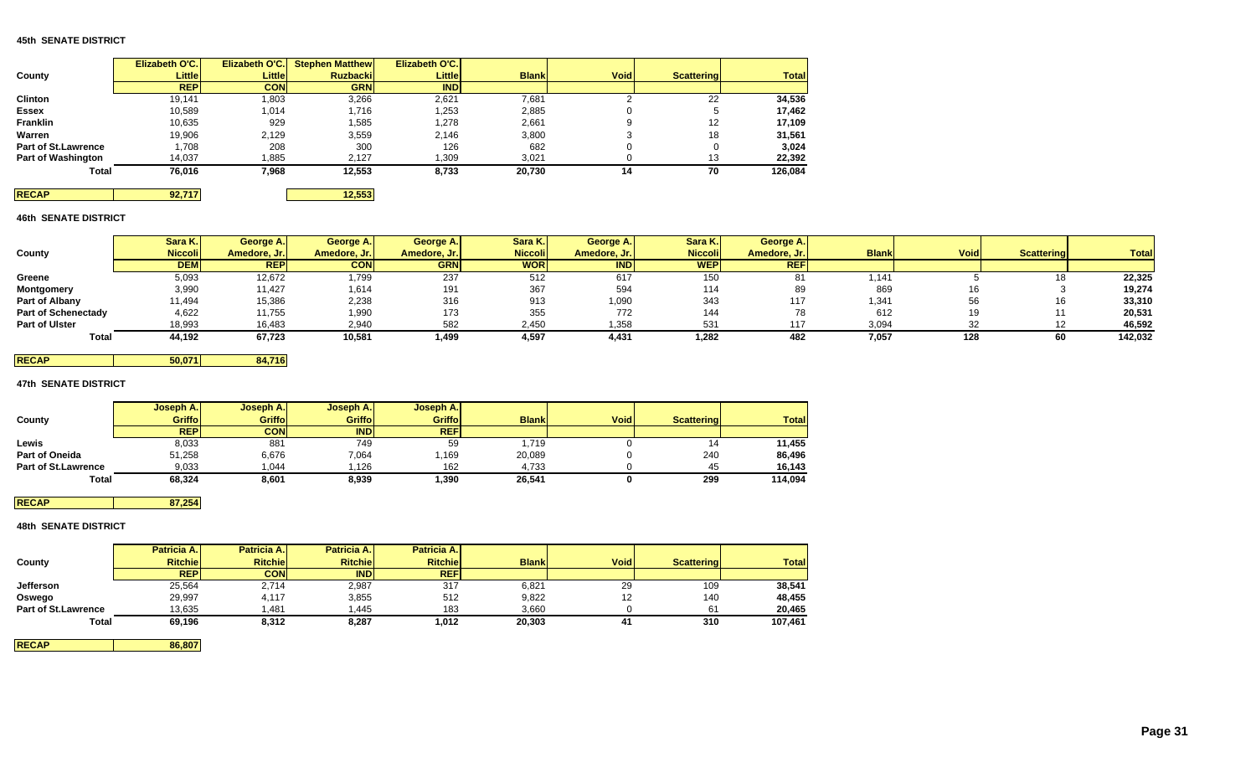|                             | <b>Elizabeth O'C.</b> | Elizabeth O'C. | <b>Stephen Matthew</b> | <b>Elizabeth O'C.</b> |              |             |                   |              |
|-----------------------------|-----------------------|----------------|------------------------|-----------------------|--------------|-------------|-------------------|--------------|
| County                      | <b>Little</b>         | Little         | <b>Ruzbacki</b>        | Littlel               | <b>Blank</b> | <b>Void</b> | <b>Scattering</b> | <b>Total</b> |
|                             | <b>REP</b>            | <b>CON</b>     | <b>GRN</b>             | <b>IND</b>            |              |             |                   |              |
| <b>Clinton</b>              | 19.141                | .803           | 3,266                  | 2,621                 | 7,681        |             | 22                | 34,536       |
| <b>Essex</b>                | 10.589                | 1,014          | 1.716                  | 1,253                 | 2,885        |             |                   | 17,462       |
| Franklin                    | 10,635                | 929            | .585                   | 1,278                 | 2,661        |             | 12                | 17,109       |
| Warren                      | 19.906                | 2.129          | 3,559                  | 2,146                 | 3,800        |             | 18                | 31,561       |
| <b>Part of St. Lawrence</b> | 708.                  | 208            | 300                    | 126                   | 682          |             |                   | 3,024        |
| <b>Part of Washington</b>   | 14,037                | .885           | 2.127                  | 1,309                 | 3,021        |             | 13                | 22,392       |
| <b>Total</b>                | 76.016                | 7,968          | 12,553                 | 8,733                 | 20,730       | 14          | 70                | 126,084      |

**12,553** 

**46th SENATE DISTRICT** 

**RECAP 92,717** 

|                            | Sara K.        | George A     | George A.    | George A.    | Sara K.        | George A.    | Sara K.        | George A.    |              |             |                   |              |
|----------------------------|----------------|--------------|--------------|--------------|----------------|--------------|----------------|--------------|--------------|-------------|-------------------|--------------|
| County                     | <b>Niccoli</b> | Amedore, Jr. | Amedore, Jr. | Amedore, Jr. | <b>Niccoli</b> | Amedore, Jr. | <b>Niccoli</b> | Amedore, Jr. | <b>Blank</b> | <b>Void</b> | <b>Scattering</b> | <b>Total</b> |
|                            | <b>DEM</b>     | <b>REP</b>   | <b>CON</b>   | <b>GRN</b>   | <b>WOR</b>     | <b>IND</b>   | <b>WEP</b>     | <b>REF</b>   |              |             |                   |              |
| Greene                     | 5,093          | 12,672       | 1,799        | 237          | 512            | 617          | 150            | $\circ$      | 141          |             |                   | 22,325       |
| Montgomery                 | 3,990          | 11,427       | 1,614        | 191          | 367            | 594          | 114            | 89           | 869          |             |                   | 19,274       |
| Part of Albany             | 11,494         | 15,386       | 2,238        | 316          | 913            | 1,090        | 343            | 117          | 1.341        | 56          |                   | 33,310       |
| <b>Part of Schenectady</b> | 4,622          | 11,755       | 1,990        | 173          | 355            | 772          | 144            |              | 612          |             |                   | 20,531       |
| <b>Part of Ulster</b>      | 18,993         | 16,483       | 2,940        | 582          | 2,450          | 1,358        | 531            | 117          | 3,094        |             |                   | 46,592       |
| <b>Total</b>               | 44,192         | 67,723       | 10,581       | 499. ا       | 4,597          | 4,431        | 282, ا         | 482          | 7,057        | 128         |                   | 142,032      |

**RECAP** 50,071 84,716

#### **47th SENATE DISTRICT**

|                            | Joseph A.     | Joseph A.     | Joseph A.     | Joseph A.     |              |             |                   |              |
|----------------------------|---------------|---------------|---------------|---------------|--------------|-------------|-------------------|--------------|
| County                     | <b>Griffo</b> | <b>Griffo</b> | <b>Griffo</b> | <b>Griffo</b> | <b>Blank</b> | <b>Void</b> | <b>Scattering</b> | <b>Total</b> |
|                            | <b>REP</b>    | <b>CON</b>    | <b>IND</b>    | <b>REF</b>    |              |             |                   |              |
| Lewis                      | 8,033         | 881           | 749           | 59            | .719         |             |                   | 11,455       |
| <b>Part of Oneida</b>      | 51,258        | 6,676         | 7,064         | .169          | 20,089       |             | 240               | 86,496       |
| <b>Part of St.Lawrence</b> | 9,033         | .044          | l.126         | 162           | 4.733        |             | 45                | 16.143       |
| Total                      | 68.324        | 8,601         | 8,939         | 390, ا        | 26,541       |             | 299               | 114,094      |

## **RECAP** 87,254

#### **48th SENATE DISTRICT**

|                            | Patricia A.     | Patricia A.     | Patricia A.     | <b>Patricia A.</b> |              |             |                   |              |
|----------------------------|-----------------|-----------------|-----------------|--------------------|--------------|-------------|-------------------|--------------|
| County                     | <b>Ritchiel</b> | <b>Ritchiel</b> | <b>Ritchiel</b> | <b>Ritchiel</b>    | <b>Blank</b> | <b>Void</b> | <b>Scattering</b> | <b>Total</b> |
|                            | <b>REP</b>      | <b>CON</b>      | <b>IND</b>      | <b>REF</b>         |              |             |                   |              |
| Jefferson                  | 25,564          | 2,714           | 2,987           | 317                | 6,821        | 29          | 109               | 38,541       |
| Oswego                     | 29,997          | 4,117           | 3,855           | 512                | 9,822        | 12          | 140               | 48.455       |
| <b>Part of St.Lawrence</b> | 13.635          | .481            | 1.445           | 183                | 3.660        |             | 61                | 20.465       |
| Total                      | 69,196          | 8,312           | 8,287           | 1,012              | 20,303       | 4.          | 310               | 107,461      |

**RECAP 86,807**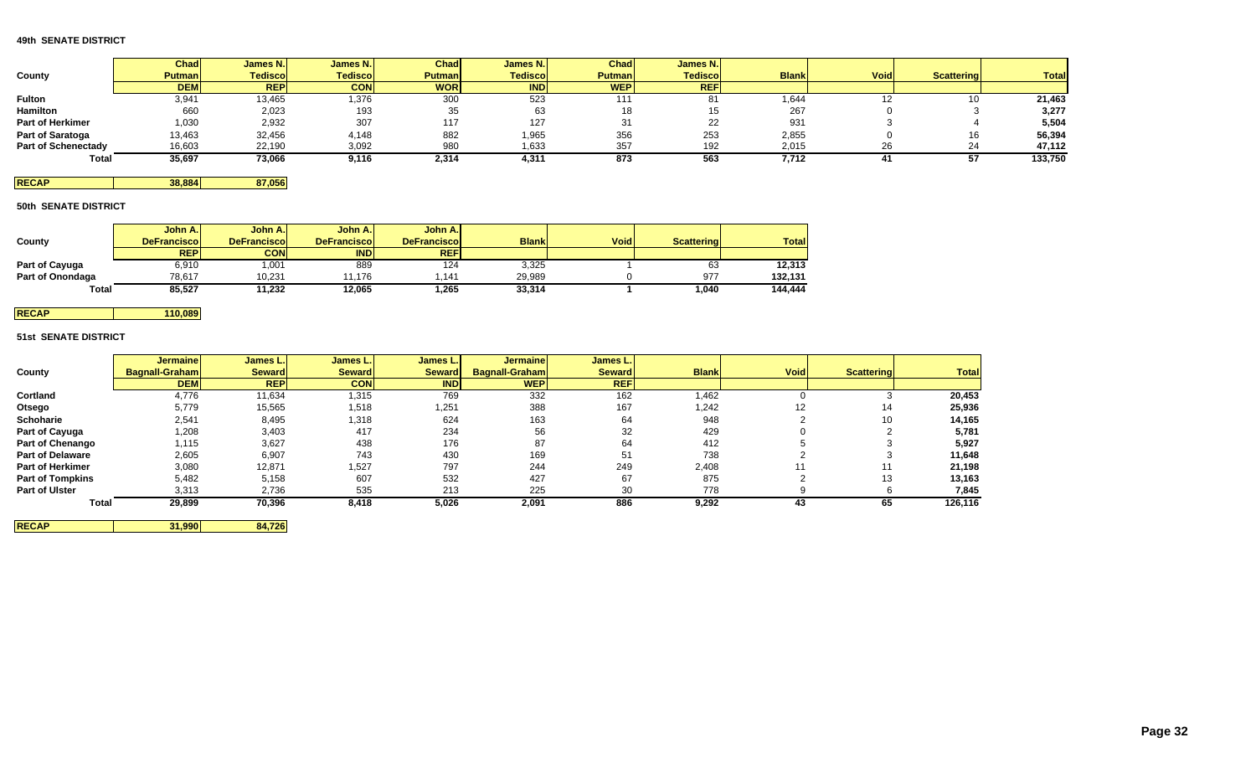| County              | <b>Chad</b><br><b>Putman</b> | James N.<br><b>Tedisco</b> | <b>James N.</b><br><b>Tedisco</b> | Chad<br><b>Putman</b> | James N.<br>Tediscol | Chad<br>Putman | James N.<br><b>Tedisco</b> | <b>Blank</b> | <b>Void</b> | <b>Scattering</b> | <b>Total</b> |
|---------------------|------------------------------|----------------------------|-----------------------------------|-----------------------|----------------------|----------------|----------------------------|--------------|-------------|-------------------|--------------|
|                     | <b>DEM</b>                   | <b>REP</b>                 | <b>CON</b>                        | <b>WOR</b>            | <b>IND</b>           | <b>WEP</b>     | REF                        |              |             |                   |              |
| Fulton              | 3,941                        | 13,465                     | .376                              | 300                   | 523                  |                | 81                         | 644. ا       |             | 10                | 21,463       |
| Hamilton            | 660                          | 2,023                      | 193                               | -35                   |                      |                | 15                         | 267          |             |                   | 3,277        |
| Part of Herkimer    | 1,030                        | 2,932                      | 307                               | 117                   | 127                  |                | 22                         | 931          |             |                   | 5,504        |
| Part of Saratoga    | 13,463                       | 32,456                     | 4,148                             | 882                   | 1,965                | 356            | 253                        | 2,855        |             | 16                | 56,394       |
| Part of Schenectady | 16,603                       | 22,190                     | 3,092                             | 980                   | 1,633                | 357            | 192                        | 2,015        | 26          | 24                | 47,112       |
| Total               | 35,697                       | 73,066                     | 9,116                             | 2,314                 | 4,311                | 873            | 563                        | 7,712        |             |                   | 133,750      |

**RECAP** 38,884 87,056

#### **50th SENATE DISTRICT**

|                  | John A.             | John A.I            | John A.             | John A.I            |              |             |            |              |
|------------------|---------------------|---------------------|---------------------|---------------------|--------------|-------------|------------|--------------|
| County           | <b>DeFranciscol</b> | <b>DeFranciscol</b> | <b>DeFranciscol</b> | <b>DeFranciscol</b> | <b>Blank</b> | <b>Void</b> | Scattering | <b>Total</b> |
|                  | <b>REP</b>          | CONI                | <b>IND</b>          | <b>REF</b>          |              |             |            |              |
| Part of Cayuga   | 6.910               | ,001                | 889                 | 124                 | 3,325        |             | 63         | 12,313       |
| Part of Onondaga | 78.617              | 10.231              | 11.176              | .141                | 29.989       |             | 977        | 132.131      |
| Total            | 85.527              | 11.232              | 12.065              | 1.265               | 33.314       |             | .040       | 144.444      |

## **51st SENATE DISTRICT**

**RECAP 110,089** 

|                         | <b>Jermainel</b> | James L.      | James L.      | James L.      | <b>Jermainel</b>      | James L.      |              |             |                   |              |
|-------------------------|------------------|---------------|---------------|---------------|-----------------------|---------------|--------------|-------------|-------------------|--------------|
| County                  | Bagnall-Graham   | <b>Seward</b> | <b>Seward</b> | <b>Seward</b> | <b>Bagnall-Graham</b> | <b>Seward</b> | <b>Blank</b> | <b>Void</b> | <b>Scattering</b> | <b>Total</b> |
|                         | <b>DEM</b>       | <b>REP</b>    | <b>CON</b>    | <b>IND</b>    | <b>WEP</b>            | <b>REF</b>    |              |             |                   |              |
| Cortland                | 4,776            | 11,634        | 1,315         | 769           | 332                   | 162           | 1,462        |             |                   | 20,453       |
| Otsego                  | 5,779            | 15,565        | 1,518         | 1,251         | 388                   | 167           | 1,242        | 12          | 14                | 25,936       |
| Schoharie               | 2,541            | 8,495         | 1,318         | 624           | 163                   | 64            | 948          |             | 10                | 14,165       |
| Part of Cayuga          | 208. ا           | 3,403         | 417           | 234           | 56                    | 32            | 429          |             |                   | 5,781        |
| <b>Part of Chenango</b> | l,115            | 3,627         | 438           | 176           | 87                    | 64            | 412          |             |                   | 5,927        |
| <b>Part of Delaware</b> | 2,605            | 6,907         | 743           | 430           | 169                   | 51            | 738          |             |                   | 11,648       |
| <b>Part of Herkimer</b> | 3,080            | 12,871        | 1,527         | 797           | 244                   | 249           | 2,408        |             |                   | 21,198       |
| <b>Part of Tompkins</b> | 5,482            | 5,158         | 607           | 532           | 427                   | 67            | 875          |             | 13                | 13,163       |
| <b>Part of Ulster</b>   | 3,313            | 2,736         | 535           | 213           | 225                   | 30            | 778          |             |                   | 7,845        |
| Total                   | 29,899           | 70,396        | 8,418         | 5,026         | 2,091                 | 886           | 9,292        | 43          | 65                | 126,116      |
| <b>RECAP</b>            | 31,990           | 84,726        |               |               |                       |               |              |             |                   |              |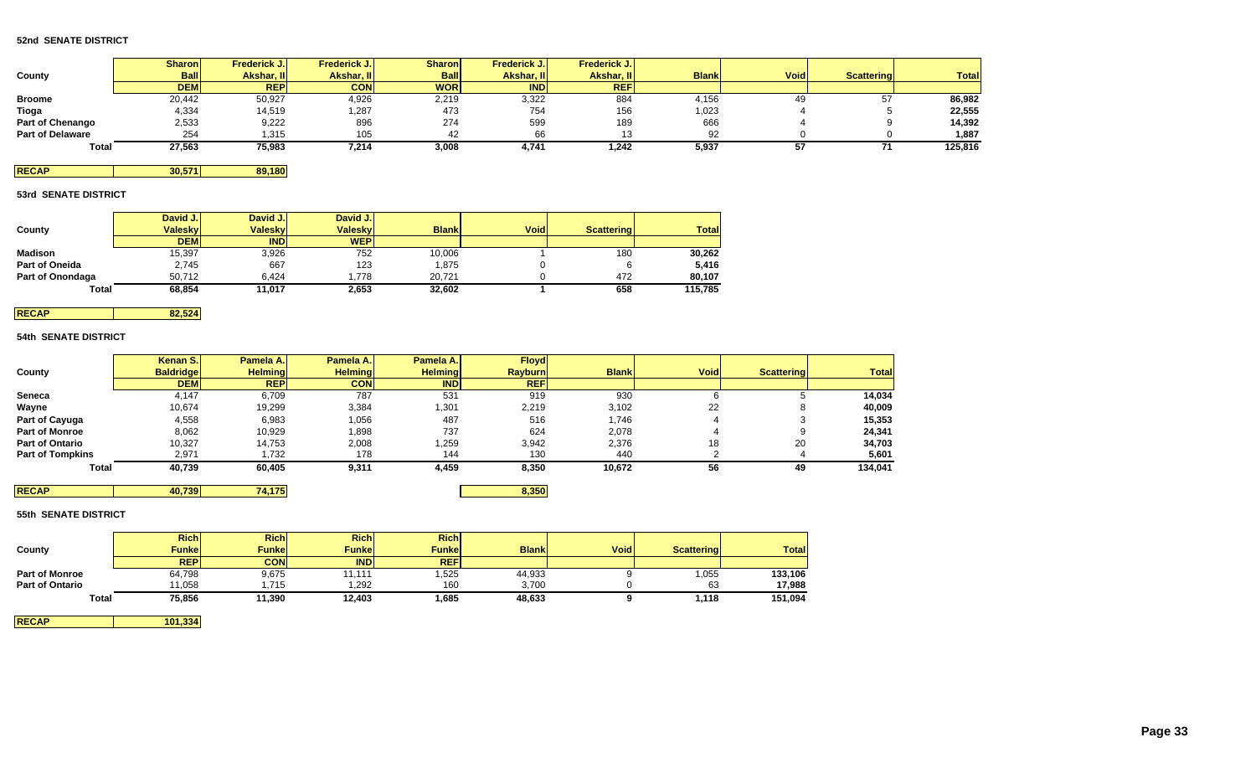#### **52nd SENATE DISTRICT**

|                         | <b>Sharon</b> | Frederick J. | <b>Frederick J.</b> | <b>Sharon</b> | <b>Frederick J.I.</b> | <b>Frederick J.</b> |              |             |                   |              |
|-------------------------|---------------|--------------|---------------------|---------------|-----------------------|---------------------|--------------|-------------|-------------------|--------------|
| County                  | <b>Ball</b>   | Akshar, II   | Akshar, II          | <b>Ball</b>   | Akshar, II            | Akshar, II          | <b>Blank</b> | <b>Void</b> | <b>Scattering</b> | <b>Total</b> |
|                         | <b>DEM</b>    | <b>REP</b>   | <b>CON</b>          | <b>WOR</b>    | <b>IND</b>            | <b>REF</b>          |              |             |                   |              |
| Broome                  | 20,442        | 50,927       | 4,926               | 2,219         | 3,322                 | 884                 | 4,156        | 49          | 57                | 86,982       |
| Tioga                   | 4,334         | 14,519       | 1,287               | 473           | 754                   | 156                 | 023          |             |                   | 22,555       |
| Part of Chenango        | 2,533         | 9,222        | 896                 | 274           | 599                   | 189                 | 666          |             |                   | 14,392       |
| <b>Part of Delaware</b> | 254           | 1.315        | 105                 |               | 66                    |                     | 92           |             |                   | 1,887        |
| <b>Total</b>            | 27,563        | 75,983       | 7,214               | 3,008         | 4,741                 | 1.242               | 5,937        |             |                   | 125,816      |

**RECAP** 30,571 89,180

#### **53rd SENATE DISTRICT**

|                       | David J.   | David J.       | David J.       |              |             |                   |              |
|-----------------------|------------|----------------|----------------|--------------|-------------|-------------------|--------------|
| County                | Valesky    | <b>Valesky</b> | <b>Valesky</b> | <b>Blank</b> | <b>Void</b> | <b>Scattering</b> | <b>Total</b> |
|                       | <b>DEM</b> | <b>IND</b>     | <b>WEP</b>     |              |             |                   |              |
| <b>Madison</b>        | 15,397     | 3,926          | 752            | 10,006       |             | 180               | 30,262       |
| <b>Part of Oneida</b> | 2,745      | 667            | 123            | ,875         |             |                   | 5,416        |
| Part of Onondaga      | 50.712     | 6.424          | .778           | 20.721       |             | 472               | 80.107       |
| Total                 | 68.854     | 11,017         | 2,653          | 32,602       |             | 658               | 115.785      |

## **54th SENATE DISTRICT**

**RECAP** 82,524

| County                  | Kenan S.<br><b>Baldridge</b> | Pamela A.<br><b>Helming</b> | Pamela A.<br><b>Helming</b> | Pamela A.I<br><b>Helming</b> | <b>Floyd</b><br><b>Rayburn</b> | <b>Blank</b> | <b>Void</b> | <b>Scattering</b> | <b>Total</b> |
|-------------------------|------------------------------|-----------------------------|-----------------------------|------------------------------|--------------------------------|--------------|-------------|-------------------|--------------|
|                         | <b>DEM</b>                   | <b>REP</b>                  | <b>CON</b>                  | <b>IND</b>                   | <b>REF</b>                     |              |             |                   |              |
| Seneca                  | 4,147                        | 6,709                       | 787                         | 531                          | 919                            | 930          |             |                   | 14,034       |
| Wayne                   | 10,674                       | 19,299                      | 3,384                       | 1,301                        | 2,219                          | 3,102        | 22          |                   | 40,009       |
| Part of Cayuga          | 4,558                        | 6,983                       | 1.056                       | 487                          | 516                            | 1,746        |             |                   | 15,353       |
| <b>Part of Monroe</b>   | 8,062                        | 10,929                      | 0.898                       | 737                          | 624                            | 2,078        |             | 9                 | 24,341       |
| <b>Part of Ontario</b>  | 10,327                       | 14,753                      | 2,008                       | 1,259                        | 3,942                          | 2,376        | 18          | 20                | 34,703       |
| <b>Part of Tompkins</b> | 2,971                        | 1,732                       | 178                         | 144                          | 130                            | 440          |             |                   | 5,601        |
| Total                   | 40,739                       | 60.405                      | 9,311                       | 4,459                        | 8,350                          | 10,672       | 56          | 49                | 134,041      |

**RECAP 40,739 74,175 8,350** 

#### **55th SENATE DISTRICT**

| County                 | Richl<br>Funkel | Richl<br><b>Funkel</b> | <b>Rich</b><br><b>Funkel</b> | <b>Rich</b><br><b>Funke</b> | <b>Blank</b> | Void. | Scattering | <b>Total</b> |
|------------------------|-----------------|------------------------|------------------------------|-----------------------------|--------------|-------|------------|--------------|
|                        | <b>REP</b>      | <b>CON</b>             | <b>IND</b>                   | <b>REF</b>                  |              |       |            |              |
| <b>Part of Monroe</b>  | 64,798          | 9,675                  | 11.111                       | .525                        | 44,933       |       | ,055       | 133,106      |
| <b>Part of Ontario</b> | 11.058          | .715                   | 1.292                        | 160                         | 3.700        |       | 63         | 17.988       |
| <b>Total</b>           | 75,856          | 11,390                 | 12,403                       | 1,685                       | 48,633       |       | 118,ا      | 151,094      |

**RECAP 101,334**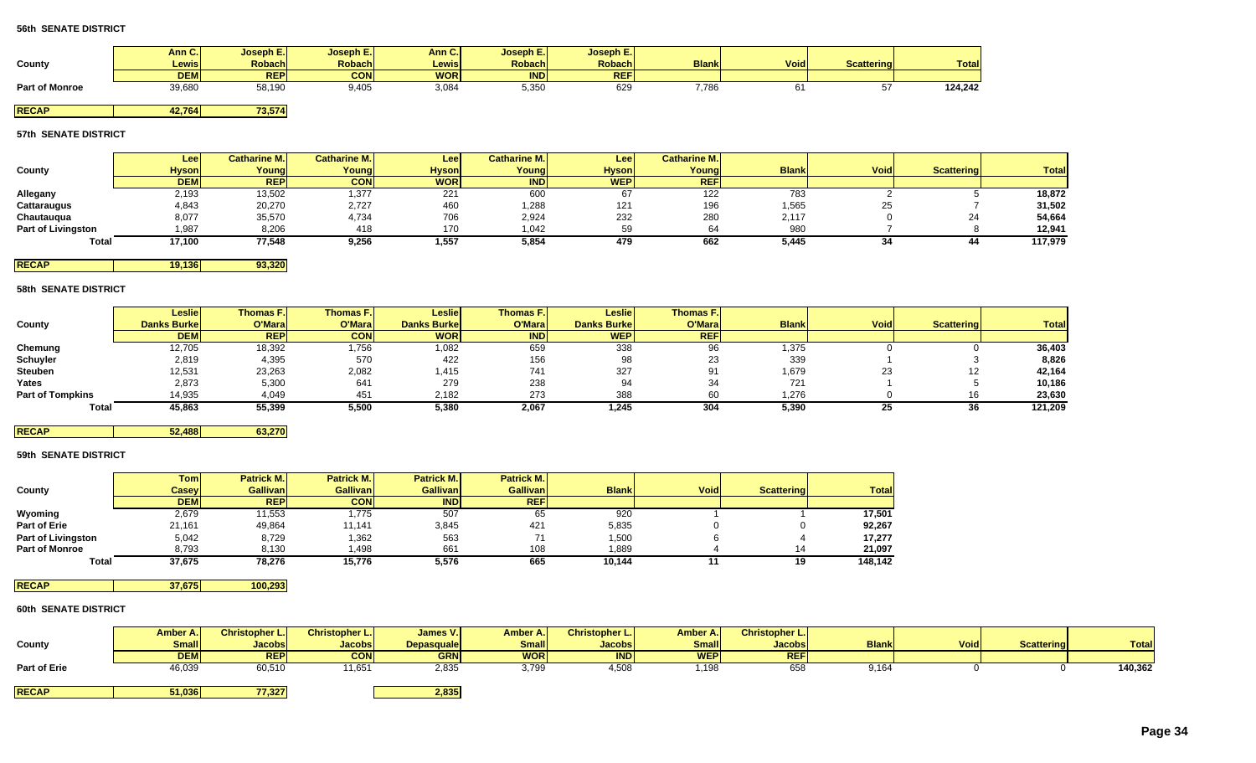|                       | Ann C.I      | Joseph E.     | Joseph E.     | Ann C.     | Joseph E.   | Joseph E.I    |              |             |             |         |
|-----------------------|--------------|---------------|---------------|------------|-------------|---------------|--------------|-------------|-------------|---------|
| County                | <b>Lewis</b> | <b>Robach</b> | <b>Robach</b> | Lewis      | Robach      | <b>Robach</b> | <b>Blank</b> | <b>Void</b> | Scatteringl | Total   |
|                       | <b>DEM</b>   | <b>REP</b>    | <b>CON</b>    | <b>WOR</b> | <b>'NDI</b> | <b>REI</b>    |              |             |             |         |
| <b>Part of Monroe</b> | 39,680       | 58,190        | 9,405         | 3,08       | 5,350       | 02.           | 7,786        |             |             | 124.242 |

**RECAP** 42,764 73,574

#### **57th SENATE DISTRICT**

|                           | Leel         | <b>Catharine M.</b> | <b>Catharine M.</b> | Lee          | <b>Catharine M.</b> | Lee          | <b>Catharine M.I.</b> |              |             |                   |              |
|---------------------------|--------------|---------------------|---------------------|--------------|---------------------|--------------|-----------------------|--------------|-------------|-------------------|--------------|
| County                    | <b>Hyson</b> | Young               | Young               | <b>Hyson</b> | Young               | <b>Hyson</b> | Young                 | <b>Blank</b> | <b>Void</b> | <b>Scattering</b> | <b>Total</b> |
|                           | <b>DEM</b>   | <b>REP</b>          | <b>CON</b>          | <b>WOR</b>   | <b>IND</b>          | <b>WEP</b>   | <b>REF</b>            |              |             |                   |              |
| Allegany                  | 2,193        | 13,502              | ,377                | 221          | 600                 | <b>b</b>     | 122                   | 783          |             |                   | 18,872       |
| Cattaraugus               | 4,843        | 20,270              | 2,727               | 460          | 1,288               | 121          | 196                   | 1,565        | 20          |                   | 31,502       |
| Chautauqua                | 8,077        | 35,570              | 4,734               | 706          | 2,924               | 232          | 280                   | 2,117        |             | 24                | 54,664       |
| <b>Part of Livingston</b> | 1,987        | 8,206               | 418                 | 170          | 1,042               | 59           | 64                    | 980          |             |                   | 12,941       |
| Total                     | 17,100       | 77,548              | 9,256               | 1,557        | 5,854               | 479          | 662                   | 5,445        | 34          | 44                | 117,979      |
|                           |              |                     |                     |              |                     |              |                       |              |             |                   |              |

**RECAP** 19,136 93,320

#### **58th SENATE DISTRICT**

|                         | <b>Leslie</b>       | <b>Thomas F.I</b> | <b>Thomas F.</b> | Leslie              | Thomas F.  | Leslie      | <b>Thomas F.</b> |              |             |                   |              |
|-------------------------|---------------------|-------------------|------------------|---------------------|------------|-------------|------------------|--------------|-------------|-------------------|--------------|
| County                  | <b>Danks Burkel</b> | O'Mara            | O'Mara           | <b>Danks Burkel</b> | O'Mara     | Danks Burke | O'Mara           | <b>Blank</b> | <b>Void</b> | <b>Scattering</b> | <b>Total</b> |
|                         | <b>DEM</b>          | <b>REP</b>        | <b>CON</b>       | <b>WOR</b>          | <b>IND</b> | <b>WEP</b>  | <b>REF</b>       |              |             |                   |              |
| Chemung                 | 12,705              | 18,392            | 756, ا           | 1,082               | 659        | 338         | 96               | 1,375        |             |                   | 36,403       |
| <b>Schuyler</b>         | 2,819               | 4,395             | 570              | 422                 | 156        |             | 23               | 339          |             |                   | 8,826        |
| <b>Steuben</b>          | 12,531              | 23,263            | 2,082            | 1,415               | 741        | 327         | 91               | 679. ا       | 23          | L.                | 42,164       |
| Yates                   | 2,873               | 5,300             | 641              | 279                 | 238        |             |                  | 721          |             |                   | 10,186       |
| <b>Part of Tompkins</b> | 14,935              | 4,049             | 451              | 2,182               | 273        | 388         | 60               | 1,276        |             |                   | 23,630       |
| <b>Total</b>            | 45,863              | 55,399            | 5,500            | 5,380               | 2,067      | 1,245       | 304              | 5,390        | 25          | 36                | 121,209      |

**RECAP** 63,270

#### **59th SENATE DISTRICT**

|                           | <b>Tom</b>   | Patrick M.      | <b>Patrick M.</b> | Patrick M.      | <b>Patrick M.</b> |              |             |                   |              |
|---------------------------|--------------|-----------------|-------------------|-----------------|-------------------|--------------|-------------|-------------------|--------------|
| County                    | <b>Casey</b> | <b>Gallivan</b> | <b>Gallivan</b>   | <b>Gallivan</b> | <b>Gallivan</b>   | <b>Blank</b> | <b>Void</b> | <b>Scattering</b> | <b>Total</b> |
|                           | <b>DEM</b>   | <b>REPI</b>     | <b>CON</b>        | <b>IND</b>      | <b>REF</b>        |              |             |                   |              |
| Wyoming                   | 2,679        | 11,553          | ,775              | 507             | 65                | 920          |             |                   | 17,501       |
| <b>Part of Erie</b>       | 21,161       | 49,864          | 11,141            | 3,845           | 421               | 5,835        |             |                   | 92,267       |
| <b>Part of Livingston</b> | 5,042        | 8,729           | 362. ا            | 563             |                   | 1,500        |             |                   | 17.277       |
| <b>Part of Monroe</b>     | 8,793        | 8,130           | .498              | 661             | 108               | 1.889        |             | 14                | 21.097       |
| Total                     | 37,675       | 78,276          | 15,776            | 5,576           | 665               | 10,144       |             | 19                | 148,142      |

**RECAP 100,293** 

|                     | Amber A.     | <b>Christopher L.</b> | <b>Christopher L.</b> | James V.          | Amber A.     | <b>Christopher L.I.</b> | <b>Amber A.</b> | <b>Christopher L.</b> |              |             |                   |              |
|---------------------|--------------|-----------------------|-----------------------|-------------------|--------------|-------------------------|-----------------|-----------------------|--------------|-------------|-------------------|--------------|
| County              | <b>Small</b> | Jacobsl               | <b>Jacobs</b>         | <b>Depasquale</b> | <b>Small</b> | <b>Jacobs</b>           | <b>Small</b>    | Jacobsl               | <b>Blank</b> | <b>Void</b> | <b>Scattering</b> | <b>Total</b> |
|                     | <b>DEM</b>   | <b>REPI</b>           | <b>CON</b>            | <b>GRN</b>        | <b>WOR</b>   | <b>IND</b>              | WEP             | <b>REF</b>            |              |             |                   |              |
| <b>Part of Erie</b> | 46,039       | 60,510                | 11,65                 | 2,835             | 3,799        | 4,508                   | 198, ا          | 658                   | 9,164        |             |                   | 140,362      |
|                     |              |                       |                       |                   |              |                         |                 |                       |              |             |                   |              |
| <b>RECAP</b>        | 51,036       | 77,327                |                       | 2,835             |              |                         |                 |                       |              |             |                   |              |